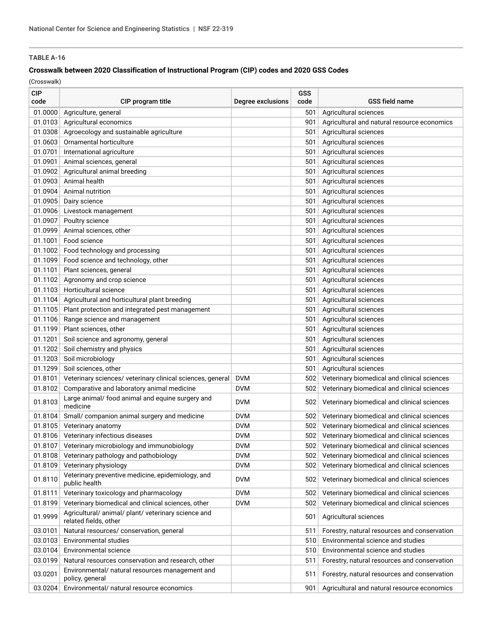### **Crosswalk between 2020 Classification of Instructional Program (CIP) codes and 2020 GSS Codes**

| <b>CIP</b><br>code | CIP program title                                                            | Degree exclusions | GSS<br>code | <b>GSS field name</b>                        |
|--------------------|------------------------------------------------------------------------------|-------------------|-------------|----------------------------------------------|
| 01.0000            | Agriculture, general                                                         |                   | 501         | Agricultural sciences                        |
| 01.0103            | Agricultural economics                                                       |                   | 901         | Agricultural and natural resource economics  |
| 01.0308            | Agroecology and sustainable agriculture                                      |                   | 501         | Agricultural sciences                        |
| 01.0603            | Ornamental horticulture                                                      |                   | 501         | Agricultural sciences                        |
| 01.0701            | International agriculture                                                    |                   | 501         | Agricultural sciences                        |
| 01.0901            | Animal sciences, general                                                     |                   | 501         | Agricultural sciences                        |
| 01.0902            | Agricultural animal breeding                                                 |                   | 501         | Agricultural sciences                        |
| 01.0903            | Animal health                                                                |                   | 501         | Agricultural sciences                        |
| 01.0904            | Animal nutrition                                                             |                   | 501         | Agricultural sciences                        |
| 01.0905            | Dairy science                                                                |                   | 501         | Agricultural sciences                        |
| 01.0906            | Livestock management                                                         |                   | 501         | Agricultural sciences                        |
| 01.0907            | Poultry science                                                              |                   | 501         | Agricultural sciences                        |
| 01.0999            | Animal sciences, other                                                       |                   | 501         | Agricultural sciences                        |
| 01.1001            | Food science                                                                 |                   | 501         | Agricultural sciences                        |
| 01.1002            | Food technology and processing                                               |                   | 501         | Agricultural sciences                        |
| 01.1099            | Food science and technology, other                                           |                   | 501         | Agricultural sciences                        |
| 01.1101            | Plant sciences, general                                                      |                   | 501         | Agricultural sciences                        |
| 01.1102            | Agronomy and crop science                                                    |                   | 501         | Agricultural sciences                        |
| 01.1103            | Horticultural science                                                        |                   | 501         | Agricultural sciences                        |
| 01.1104            | Agricultural and horticultural plant breeding                                |                   | 501         | Agricultural sciences                        |
| 01.1105            | Plant protection and integrated pest management                              |                   | 501         | Agricultural sciences                        |
| 01.1106            | Range science and management                                                 |                   | 501         | Agricultural sciences                        |
| 01.1199            | Plant sciences, other                                                        |                   | 501         | Agricultural sciences                        |
| 01.1201            | Soil science and agronomy, general                                           |                   | 501         | Agricultural sciences                        |
| 01.1202            | Soil chemistry and physics                                                   |                   | 501         | Agricultural sciences                        |
| 01.1203            | Soil microbiology                                                            |                   | 501         | Agricultural sciences                        |
| 01.1299            | Soil sciences, other                                                         |                   | 501         | Agricultural sciences                        |
| 01.8101            | Veterinary sciences/ veterinary clinical sciences, general                   | <b>DVM</b>        | 502         | Veterinary biomedical and clinical sciences  |
| 01.8102            | Comparative and laboratory animal medicine                                   | <b>DVM</b>        | 502         | Veterinary biomedical and clinical sciences  |
| 01.8103            | Large animal/ food animal and equine surgery and<br>medicine                 | <b>DVM</b>        | 502         | Veterinary biomedical and clinical sciences  |
| 01.8104            | Small/ companion animal surgery and medicine                                 | <b>DVM</b>        | 502         | Veterinary biomedical and clinical sciences  |
| 01.8105            | Veterinary anatomy                                                           | <b>DVM</b>        | 502         | Veterinary biomedical and clinical sciences  |
| 01.8106            | Veterinary infectious diseases                                               | <b>DVM</b>        | 502         | Veterinary biomedical and clinical sciences  |
| 01.8107            | Veterinary microbiology and immunobiology                                    | <b>DVM</b>        | 502         | Veterinary biomedical and clinical sciences  |
| 01.8108            | Veterinary pathology and pathobiology                                        | <b>DVM</b>        | 502         | Veterinary biomedical and clinical sciences  |
| 01.8109            | Veterinary physiology                                                        | <b>DVM</b>        | 502         | Veterinary biomedical and clinical sciences  |
| 01.8110            | Veterinary preventive medicine, epidemiology, and<br>public health           | <b>DVM</b>        | 502         | Veterinary biomedical and clinical sciences  |
| 01.8111            | Veterinary toxicology and pharmacology                                       | <b>DVM</b>        | 502         | Veterinary biomedical and clinical sciences  |
| 01.8199            | Veterinary biomedical and clinical sciences, other                           | <b>DVM</b>        | 502         | Veterinary biomedical and clinical sciences  |
| 01.9999            | Agricultural/ animal/ plant/ veterinary science and<br>related fields, other |                   | 501         | Agricultural sciences                        |
| 03.0101            | Natural resources/ conservation, general                                     |                   | 511         | Forestry, natural resources and conservation |
| 03.0103            | Environmental studies                                                        |                   | 510         | Environmental science and studies            |
| 03.0104            | Environmental science                                                        |                   | 510         | Environmental science and studies            |
| 03.0199            | Natural resources conservation and research, other                           |                   | 511         | Forestry, natural resources and conservation |
| 03.0201            | Environmental/ natural resources management and<br>policy, general           |                   | 511         | Forestry, natural resources and conservation |
| 03.0204            | Environmental/ natural resource economics                                    |                   | 901         | Agricultural and natural resource economics  |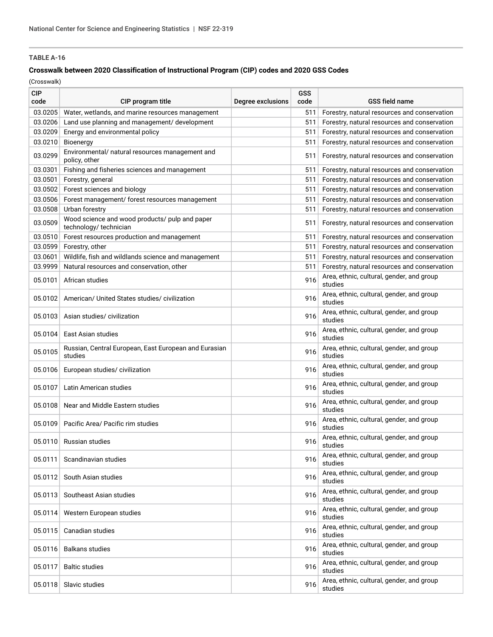### **Crosswalk between 2020 Classification of Instructional Program (CIP) codes and 2020 GSS Codes**

| <b>CIP</b><br>code | CIP program title                                                       | Degree exclusions | GSS<br>code | <b>GSS field name</b>                                |
|--------------------|-------------------------------------------------------------------------|-------------------|-------------|------------------------------------------------------|
| 03.0205            | Water, wetlands, and marine resources management                        |                   | 511         | Forestry, natural resources and conservation         |
| 03.0206            | Land use planning and management/ development                           |                   | 511         | Forestry, natural resources and conservation         |
| 03.0209            | Energy and environmental policy                                         |                   | 511         | Forestry, natural resources and conservation         |
| 03.0210            | Bioenergy                                                               |                   | 511         | Forestry, natural resources and conservation         |
| 03.0299            | Environmental/ natural resources management and<br>policy, other        |                   | 511         | Forestry, natural resources and conservation         |
| 03.0301            | Fishing and fisheries sciences and management                           |                   | 511         | Forestry, natural resources and conservation         |
| 03.0501            | Forestry, general                                                       |                   | 511         | Forestry, natural resources and conservation         |
| 03.0502            | Forest sciences and biology                                             |                   | 511         | Forestry, natural resources and conservation         |
| 03.0506            | Forest management/ forest resources management                          |                   | 511         | Forestry, natural resources and conservation         |
| 03.0508            | Urban forestry                                                          |                   | 511         | Forestry, natural resources and conservation         |
| 03.0509            | Wood science and wood products/ pulp and paper<br>technology/technician |                   | 511         | Forestry, natural resources and conservation         |
| 03.0510            | Forest resources production and management                              |                   | 511         | Forestry, natural resources and conservation         |
| 03.0599            | Forestry, other                                                         |                   | 511         | Forestry, natural resources and conservation         |
| 03.0601            | Wildlife, fish and wildlands science and management                     |                   | 511         | Forestry, natural resources and conservation         |
| 03.9999            | Natural resources and conservation, other                               |                   | 511         | Forestry, natural resources and conservation         |
| 05.0101            | African studies                                                         |                   | 916         | Area, ethnic, cultural, gender, and group<br>studies |
| 05.0102            | American/ United States studies/ civilization                           |                   | 916         | Area, ethnic, cultural, gender, and group<br>studies |
| 05.0103            | Asian studies/civilization                                              |                   | 916         | Area, ethnic, cultural, gender, and group<br>studies |
| 05.0104            | East Asian studies                                                      |                   | 916         | Area, ethnic, cultural, gender, and group<br>studies |
| 05.0105            | Russian, Central European, East European and Eurasian<br>studies        |                   | 916         | Area, ethnic, cultural, gender, and group<br>studies |
| 05.0106            | European studies/ civilization                                          |                   | 916         | Area, ethnic, cultural, gender, and group<br>studies |
| 05.0107            | Latin American studies                                                  |                   | 916         | Area, ethnic, cultural, gender, and group<br>studies |
| 05.0108            | Near and Middle Eastern studies                                         |                   | 916         | Area, ethnic, cultural, gender, and group<br>studies |
| 05.0109            | Pacific Area/ Pacific rim studies                                       |                   | 916         | Area, ethnic, cultural, gender, and group<br>studies |
|                    | 05.0110 Russian studies                                                 |                   | 916         | Area, ethnic, cultural, gender, and group<br>studies |
| 05.0111            | Scandinavian studies                                                    |                   | 916         | Area, ethnic, cultural, gender, and group<br>studies |
| 05.0112            | South Asian studies                                                     |                   | 916         | Area, ethnic, cultural, gender, and group<br>studies |
| 05.0113            | Southeast Asian studies                                                 |                   | 916         | Area, ethnic, cultural, gender, and group<br>studies |
| 05.0114            | Western European studies                                                |                   | 916         | Area, ethnic, cultural, gender, and group<br>studies |
| 05.0115            | Canadian studies                                                        |                   | 916         | Area, ethnic, cultural, gender, and group<br>studies |
| 05.0116            | <b>Balkans studies</b>                                                  |                   | 916         | Area, ethnic, cultural, gender, and group<br>studies |
| 05.0117            | <b>Baltic studies</b>                                                   |                   | 916         | Area, ethnic, cultural, gender, and group<br>studies |
| 05.0118            | Slavic studies                                                          |                   | 916         | Area, ethnic, cultural, gender, and group<br>studies |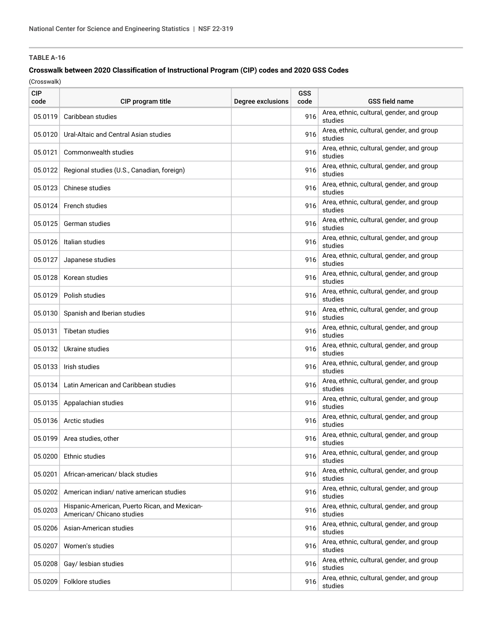### **Crosswalk between 2020 Classification of Instructional Program (CIP) codes and 2020 GSS Codes**

| <b>CIP</b><br>code | CIP program title                                                          | Degree exclusions | GSS<br>code | <b>GSS field name</b>                                |
|--------------------|----------------------------------------------------------------------------|-------------------|-------------|------------------------------------------------------|
| 05.0119            | Caribbean studies                                                          |                   | 916         | Area, ethnic, cultural, gender, and group<br>studies |
| 05.0120            | Ural-Altaic and Central Asian studies                                      |                   | 916         | Area, ethnic, cultural, gender, and group<br>studies |
| 05.0121            | Commonwealth studies                                                       |                   | 916         | Area, ethnic, cultural, gender, and group<br>studies |
| 05.0122            | Regional studies (U.S., Canadian, foreign)                                 |                   | 916         | Area, ethnic, cultural, gender, and group<br>studies |
| 05.0123            | Chinese studies                                                            |                   | 916         | Area, ethnic, cultural, gender, and group<br>studies |
| 05.0124            | French studies                                                             |                   | 916         | Area, ethnic, cultural, gender, and group<br>studies |
| 05.0125            | German studies                                                             |                   | 916         | Area, ethnic, cultural, gender, and group<br>studies |
| 05.0126            | Italian studies                                                            |                   | 916         | Area, ethnic, cultural, gender, and group<br>studies |
| 05.0127            | Japanese studies                                                           |                   | 916         | Area, ethnic, cultural, gender, and group<br>studies |
| 05.0128            | Korean studies                                                             |                   | 916         | Area, ethnic, cultural, gender, and group<br>studies |
| 05.0129            | Polish studies                                                             |                   | 916         | Area, ethnic, cultural, gender, and group<br>studies |
| 05.0130            | Spanish and Iberian studies                                                |                   | 916         | Area, ethnic, cultural, gender, and group<br>studies |
| 05.0131            | Tibetan studies                                                            |                   | 916         | Area, ethnic, cultural, gender, and group<br>studies |
| 05.0132            | Ukraine studies                                                            |                   | 916         | Area, ethnic, cultural, gender, and group<br>studies |
| 05.0133            | Irish studies                                                              |                   | 916         | Area, ethnic, cultural, gender, and group<br>studies |
| 05.0134            | Latin American and Caribbean studies                                       |                   | 916         | Area, ethnic, cultural, gender, and group<br>studies |
| 05.0135            | Appalachian studies                                                        |                   | 916         | Area, ethnic, cultural, gender, and group<br>studies |
| 05.0136            | Arctic studies                                                             |                   | 916         | Area, ethnic, cultural, gender, and group<br>studies |
|                    | 05.0199 Area studies, other                                                |                   | 916         | Area, ethnic, cultural, gender, and group<br>studies |
| 05.0200            | Ethnic studies                                                             |                   | 916         | Area, ethnic, cultural, gender, and group<br>studies |
| 05.0201            | African-american/ black studies                                            |                   | 916         | Area, ethnic, cultural, gender, and group<br>studies |
| 05.0202            | American indian/ native american studies                                   |                   | 916         | Area, ethnic, cultural, gender, and group<br>studies |
| 05.0203            | Hispanic-American, Puerto Rican, and Mexican-<br>American/ Chicano studies |                   | 916         | Area, ethnic, cultural, gender, and group<br>studies |
| 05.0206            | Asian-American studies                                                     |                   | 916         | Area, ethnic, cultural, gender, and group<br>studies |
| 05.0207            | Women's studies                                                            |                   | 916         | Area, ethnic, cultural, gender, and group<br>studies |
| 05.0208            | Gay/ lesbian studies                                                       |                   | 916         | Area, ethnic, cultural, gender, and group<br>studies |
| 05.0209            | Folklore studies                                                           |                   | 916         | Area, ethnic, cultural, gender, and group<br>studies |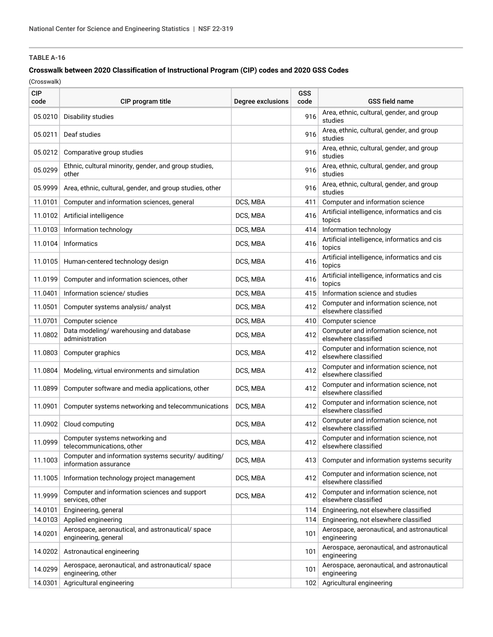### **Crosswalk between 2020 Classification of Instructional Program (CIP) codes and 2020 GSS Codes**

| <b>CIP</b><br>code | CIP program title                                                             | Degree exclusions | <b>GSS</b><br>code | <b>GSS field name</b>                                         |
|--------------------|-------------------------------------------------------------------------------|-------------------|--------------------|---------------------------------------------------------------|
| 05.0210            | Disability studies                                                            |                   | 916                | Area, ethnic, cultural, gender, and group<br>studies          |
| 05.0211            | Deaf studies                                                                  |                   | 916                | Area, ethnic, cultural, gender, and group<br>studies          |
| 05.0212            | Comparative group studies                                                     |                   | 916                | Area, ethnic, cultural, gender, and group<br>studies          |
| 05.0299            | Ethnic, cultural minority, gender, and group studies,<br>other                |                   | 916                | Area, ethnic, cultural, gender, and group<br>studies          |
| 05.9999            | Area, ethnic, cultural, gender, and group studies, other                      |                   | 916                | Area, ethnic, cultural, gender, and group<br>studies          |
| 11.0101            | Computer and information sciences, general                                    | DCS, MBA          | 411                | Computer and information science                              |
| 11.0102            | Artificial intelligence                                                       | DCS, MBA          | 416                | Artificial intelligence, informatics and cis<br>topics        |
| 11.0103            | Information technology                                                        | DCS, MBA          | 414                | Information technology                                        |
| 11.0104            | Informatics                                                                   | DCS, MBA          | 416                | Artificial intelligence, informatics and cis<br>topics        |
|                    | 11.0105 Human-centered technology design                                      | DCS, MBA          | 416                | Artificial intelligence, informatics and cis<br>topics        |
| 11.0199            | Computer and information sciences, other                                      | DCS, MBA          | 416                | Artificial intelligence, informatics and cis<br>topics        |
| 11.0401            | Information science/ studies                                                  | DCS, MBA          | 415                | Information science and studies                               |
| 11.0501            | Computer systems analysis/ analyst                                            | DCS, MBA          | 412                | Computer and information science, not<br>elsewhere classified |
| 11.0701            | Computer science                                                              | DCS, MBA          | 410                | Computer science                                              |
| 11.0802            | Data modeling/ warehousing and database<br>administration                     | DCS, MBA          | 412                | Computer and information science, not<br>elsewhere classified |
| 11.0803            | Computer graphics                                                             | DCS, MBA          | 412                | Computer and information science, not<br>elsewhere classified |
| 11.0804            | Modeling, virtual environments and simulation                                 | DCS, MBA          | 412                | Computer and information science, not<br>elsewhere classified |
| 11.0899            | Computer software and media applications, other                               | DCS, MBA          | 412                | Computer and information science, not<br>elsewhere classified |
| 11.0901            | Computer systems networking and telecommunications                            | DCS, MBA          | 412                | Computer and information science, not<br>elsewhere classified |
| 11.0902            | Cloud computing                                                               | DCS, MBA          | 412                | Computer and information science, not<br>elsewhere classified |
| 11.0999            | Computer systems networking and<br>telecommunications, other                  | DCS, MBA          | 412                | Computer and information science, not<br>elsewhere classified |
| 11.1003            | Computer and information systems security/ auditing/<br>information assurance | DCS, MBA          | 413                | Computer and information systems security                     |
| 11.1005            | Information technology project management                                     | DCS, MBA          | 412                | Computer and information science, not<br>elsewhere classified |
| 11.9999            | Computer and information sciences and support<br>services, other              | DCS, MBA          | 412                | Computer and information science, not<br>elsewhere classified |
| 14.0101            | Engineering, general                                                          |                   | 114                | Engineering, not elsewhere classified                         |
| 14.0103            | Applied engineering                                                           |                   | 114                | Engineering, not elsewhere classified                         |
| 14.0201            | Aerospace, aeronautical, and astronautical/space<br>engineering, general      |                   | 101                | Aerospace, aeronautical, and astronautical<br>engineering     |
| 14.0202            | Astronautical engineering                                                     |                   | 101                | Aerospace, aeronautical, and astronautical<br>engineering     |
| 14.0299            | Aerospace, aeronautical, and astronautical/space<br>engineering, other        |                   | 101                | Aerospace, aeronautical, and astronautical<br>engineering     |
| 14.0301            | Agricultural engineering                                                      |                   | 102                | Agricultural engineering                                      |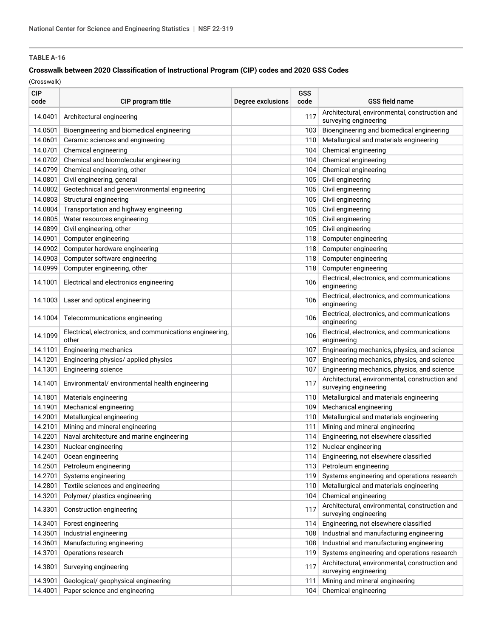### **Crosswalk between 2020 Classification of Instructional Program (CIP) codes and 2020 GSS Codes**

| <b>CIP</b><br>code | CIP program title                                                 | Degree exclusions | GSS<br>code | <b>GSS field name</b>                                                   |
|--------------------|-------------------------------------------------------------------|-------------------|-------------|-------------------------------------------------------------------------|
| 14.0401            | Architectural engineering                                         |                   | 117         | Architectural, environmental, construction and<br>surveying engineering |
| 14.0501            | Bioengineering and biomedical engineering                         |                   | 103         | Bioengineering and biomedical engineering                               |
| 14.0601            | Ceramic sciences and engineering                                  |                   | 110         | Metallurgical and materials engineering                                 |
| 14.0701            | Chemical engineering                                              |                   | 104         | Chemical engineering                                                    |
| 14.0702            | Chemical and biomolecular engineering                             |                   | 104         | Chemical engineering                                                    |
| 14.0799            | Chemical engineering, other                                       |                   | 104         | Chemical engineering                                                    |
| 14.0801            | Civil engineering, general                                        |                   | 105         | Civil engineering                                                       |
| 14.0802            | Geotechnical and geoenvironmental engineering                     |                   | 105         | Civil engineering                                                       |
| 14.0803            | Structural engineering                                            |                   | 105         | Civil engineering                                                       |
| 14.0804            | Transportation and highway engineering                            |                   | 105         | Civil engineering                                                       |
| 14.0805            | Water resources engineering                                       |                   | 105         | Civil engineering                                                       |
| 14.0899            | Civil engineering, other                                          |                   | 105         | Civil engineering                                                       |
| 14.0901            | Computer engineering                                              |                   | 118         | Computer engineering                                                    |
| 14.0902            | Computer hardware engineering                                     |                   | 118         | Computer engineering                                                    |
| 14.0903            | Computer software engineering                                     |                   | 118         | Computer engineering                                                    |
| 14.0999            | Computer engineering, other                                       |                   | 118         | Computer engineering                                                    |
| 14.1001            | Electrical and electronics engineering                            |                   | 106         | Electrical, electronics, and communications<br>engineering              |
| 14.1003            | Laser and optical engineering                                     |                   | 106         | Electrical, electronics, and communications<br>engineering              |
| 14.1004            | Telecommunications engineering                                    |                   | 106         | Electrical, electronics, and communications<br>engineering              |
| 14.1099            | Electrical, electronics, and communications engineering,<br>other |                   | 106         | Electrical, electronics, and communications<br>engineering              |
| 14.1101            | <b>Engineering mechanics</b>                                      |                   | 107         | Engineering mechanics, physics, and science                             |
| 14.1201            | Engineering physics/ applied physics                              |                   | 107         | Engineering mechanics, physics, and science                             |
| 14.1301            | Engineering science                                               |                   | 107         | Engineering mechanics, physics, and science                             |
| 14.1401            | Environmental/ environmental health engineering                   |                   | 117         | Architectural, environmental, construction and<br>surveying engineering |
| 14.1801            | Materials engineering                                             |                   | 110         | Metallurgical and materials engineering                                 |
| 14.1901            | Mechanical engineering                                            |                   | 109         | Mechanical engineering                                                  |
| 14.2001            | Metallurgical engineering                                         |                   | 110         | Metallurgical and materials engineering                                 |
| 14.2101            | Mining and mineral engineering                                    |                   | 111         | Mining and mineral engineering                                          |
| 14.2201            | Naval architecture and marine engineering                         |                   | 114         | Engineering, not elsewhere classified                                   |
| 14.2301            | Nuclear engineering                                               |                   | 112         | Nuclear engineering                                                     |
| 14.2401            | Ocean engineering                                                 |                   | 114         | Engineering, not elsewhere classified                                   |
| 14.2501            | Petroleum engineering                                             |                   | 113         | Petroleum engineering                                                   |
| 14.2701            | Systems engineering                                               |                   | 119         | Systems engineering and operations research                             |
| 14.2801            | Textile sciences and engineering                                  |                   | 110         | Metallurgical and materials engineering                                 |
| 14.3201            | Polymer/ plastics engineering                                     |                   | 104         | Chemical engineering                                                    |
| 14.3301            | Construction engineering                                          |                   | 117         | Architectural, environmental, construction and<br>surveying engineering |
| 14.3401            | Forest engineering                                                |                   | 114         | Engineering, not elsewhere classified                                   |
| 14.3501            | Industrial engineering                                            |                   | 108         | Industrial and manufacturing engineering                                |
| 14.3601            | Manufacturing engineering                                         |                   | 108         | Industrial and manufacturing engineering                                |
| 14.3701            | Operations research                                               |                   | 119         | Systems engineering and operations research                             |
| 14.3801            | Surveying engineering                                             |                   | 117         | Architectural, environmental, construction and<br>surveying engineering |
| 14.3901            | Geological/ geophysical engineering                               |                   | 111         | Mining and mineral engineering                                          |
| 14.4001            | Paper science and engineering                                     |                   | 104         | Chemical engineering                                                    |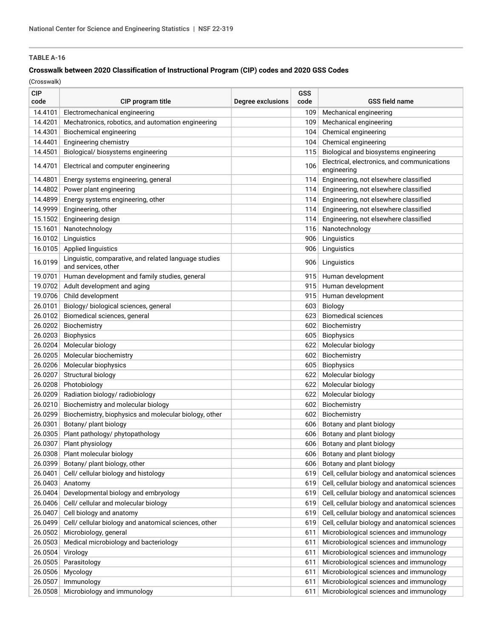### **Crosswalk between 2020 Classification of Instructional Program (CIP) codes and 2020 GSS Codes**

| <b>CIP</b><br>code | CIP program title                                                            | Degree exclusions | GSS<br>code | <b>GSS field name</b>                          |
|--------------------|------------------------------------------------------------------------------|-------------------|-------------|------------------------------------------------|
| 14.4101            | Electromechanical engineering                                                |                   | 109         | Mechanical engineering                         |
| 14.4201            | Mechatronics, robotics, and automation engineering                           |                   | 109         | Mechanical engineering                         |
| 14.4301            | Biochemical engineering                                                      |                   | 104         | Chemical engineering                           |
| 14.4401            | Engineering chemistry                                                        |                   | 104         | Chemical engineering                           |
| 14.4501            | Biological/ biosystems engineering                                           |                   | 115         | Biological and biosystems engineering          |
|                    |                                                                              |                   |             | Electrical, electronics, and communications    |
| 14.4701            | Electrical and computer engineering                                          |                   | 106         | engineering                                    |
| 14.4801            | Energy systems engineering, general                                          |                   | 114         | Engineering, not elsewhere classified          |
| 14.4802            | Power plant engineering                                                      |                   | 114         | Engineering, not elsewhere classified          |
| 14.4899            | Energy systems engineering, other                                            |                   | 114         | Engineering, not elsewhere classified          |
| 14.9999            | Engineering, other                                                           |                   | 114         | Engineering, not elsewhere classified          |
| 15.1502            | Engineering design                                                           |                   | 114         | Engineering, not elsewhere classified          |
| 15.1601            | Nanotechnology                                                               |                   | 116         | Nanotechnology                                 |
| 16.0102            | Linguistics                                                                  |                   | 906         | Linguistics                                    |
| 16.0105            | Applied linguistics                                                          |                   | 906         | Linguistics                                    |
| 16.0199            | Linguistic, comparative, and related language studies<br>and services, other |                   | 906         | Linguistics                                    |
| 19.0701            | Human development and family studies, general                                |                   | 915         | Human development                              |
| 19.0702            | Adult development and aging                                                  |                   | 915         | Human development                              |
| 19.0706            | Child development                                                            |                   | 915         | Human development                              |
| 26.0101            | Biology/ biological sciences, general                                        |                   | 603         | Biology                                        |
| 26.0102            | Biomedical sciences, general                                                 |                   | 623         | <b>Biomedical sciences</b>                     |
| 26.0202            | Biochemistry                                                                 |                   | 602         | Biochemistry                                   |
| 26.0203            | <b>Biophysics</b>                                                            |                   | 605         | Biophysics                                     |
| 26.0204            | Molecular biology                                                            |                   | 622         | Molecular biology                              |
| 26.0205            | Molecular biochemistry                                                       |                   | 602         | Biochemistry                                   |
| 26.0206            | Molecular biophysics                                                         |                   | 605         | Biophysics                                     |
| 26.0207            | Structural biology                                                           |                   | 622         | Molecular biology                              |
| 26.0208            | Photobiology                                                                 |                   | 622         | Molecular biology                              |
| 26.0209            | Radiation biology/ radiobiology                                              |                   | 622         | Molecular biology                              |
| 26.0210            | Biochemistry and molecular biology                                           |                   | 602         | Biochemistry                                   |
| 26.0299            | Biochemistry, biophysics and molecular biology, other                        |                   | 602         | Biochemistry                                   |
| 26.0301            | Botany/ plant biology                                                        |                   | 606         | Botany and plant biology                       |
| 26.0305            | Plant pathology/ phytopathology                                              |                   | 606         | Botany and plant biology                       |
| 26.0307            | Plant physiology                                                             |                   | 606         | Botany and plant biology                       |
| 26.0308            | Plant molecular biology                                                      |                   | 606         | Botany and plant biology                       |
| 26.0399            | Botany/ plant biology, other                                                 |                   | 606         | Botany and plant biology                       |
| 26.0401            | Cell/ cellular biology and histology                                         |                   | 619         | Cell, cellular biology and anatomical sciences |
| 26.0403            | Anatomy                                                                      |                   | 619         | Cell, cellular biology and anatomical sciences |
| 26.0404            | Developmental biology and embryology                                         |                   | 619         | Cell, cellular biology and anatomical sciences |
| 26.0406            | Cell/ cellular and molecular biology                                         |                   | 619         | Cell, cellular biology and anatomical sciences |
| 26.0407            | Cell biology and anatomy                                                     |                   | 619         | Cell, cellular biology and anatomical sciences |
| 26.0499            | Cell/ cellular biology and anatomical sciences, other                        |                   | 619         | Cell, cellular biology and anatomical sciences |
| 26.0502            | Microbiology, general                                                        |                   | 611         | Microbiological sciences and immunology        |
| 26.0503            | Medical microbiology and bacteriology                                        |                   | 611         | Microbiological sciences and immunology        |
| 26.0504            | Virology                                                                     |                   | 611         | Microbiological sciences and immunology        |
| 26.0505            | Parasitology                                                                 |                   | 611         | Microbiological sciences and immunology        |
| 26.0506            | Mycology                                                                     |                   | 611         | Microbiological sciences and immunology        |
| 26.0507            | Immunology                                                                   |                   | 611         | Microbiological sciences and immunology        |
| 26.0508            | Microbiology and immunology                                                  |                   | 611         | Microbiological sciences and immunology        |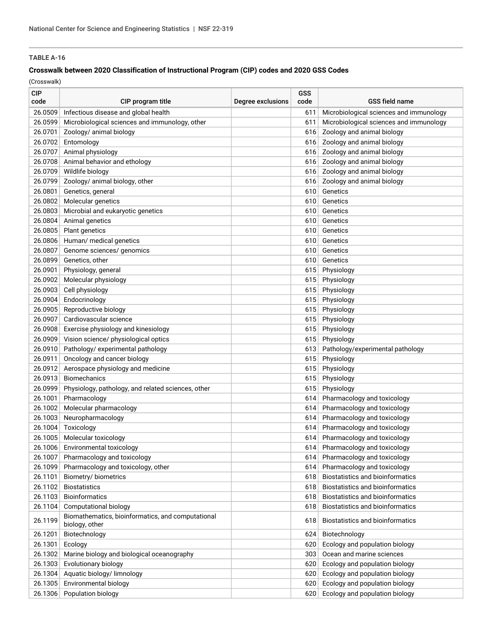### **Crosswalk between 2020 Classification of Instructional Program (CIP) codes and 2020 GSS Codes**

| <b>CIP</b><br>code | CIP program title                                  | Degree exclusions | GSS<br>code | <b>GSS field name</b>                   |
|--------------------|----------------------------------------------------|-------------------|-------------|-----------------------------------------|
| 26.0509            | Infectious disease and global health               |                   | 611         | Microbiological sciences and immunology |
| 26.0599            | Microbiological sciences and immunology, other     |                   | 611         | Microbiological sciences and immunology |
| 26.0701            | Zoology/ animal biology                            |                   | 616         | Zoology and animal biology              |
| 26.0702            | Entomology                                         |                   | 616         | Zoology and animal biology              |
| 26.0707            | Animal physiology                                  |                   | 616         | Zoology and animal biology              |
| 26.0708            | Animal behavior and ethology                       |                   | 616         | Zoology and animal biology              |
| 26.0709            | Wildlife biology                                   |                   | 616         | Zoology and animal biology              |
| 26.0799            | Zoology/ animal biology, other                     |                   | 616         | Zoology and animal biology              |
| 26.0801            | Genetics, general                                  |                   | 610         | Genetics                                |
| 26.0802            | Molecular genetics                                 |                   | 610         | Genetics                                |
| 26.0803            | Microbial and eukaryotic genetics                  |                   | 610         | Genetics                                |
| 26.0804            | Animal genetics                                    |                   | 610         | Genetics                                |
| 26.0805            | Plant genetics                                     |                   | 610         | Genetics                                |
| 26.0806            | Human/ medical genetics                            |                   | 610         | Genetics                                |
| 26.0807            | Genome sciences/ genomics                          |                   | 610         | Genetics                                |
| 26.0899            | Genetics, other                                    |                   | 610         | Genetics                                |
| 26.0901            | Physiology, general                                |                   | 615         | Physiology                              |
| 26.0902            | Molecular physiology                               |                   | 615         | Physiology                              |
| 26.0903            | Cell physiology                                    |                   | 615         | Physiology                              |
| 26.0904            | Endocrinology                                      |                   | 615         | Physiology                              |
| 26.0905            | Reproductive biology                               |                   | 615         | Physiology                              |
| 26.0907            | Cardiovascular science                             |                   | 615         | Physiology                              |
| 26.0908            | Exercise physiology and kinesiology                |                   | 615         | Physiology                              |
| 26.0909            | Vision science/ physiological optics               |                   | 615         | Physiology                              |
| 26.0910            | Pathology/ experimental pathology                  |                   | 613         | Pathology/experimental pathology        |
| 26.0911            | Oncology and cancer biology                        |                   | 615         | Physiology                              |
| 26.0912            | Aerospace physiology and medicine                  |                   | 615         | Physiology                              |
| 26.0913            | Biomechanics                                       |                   | 615         | Physiology                              |
| 26.0999            | Physiology, pathology, and related sciences, other |                   | 615         | Physiology                              |
| 26.1001            | Pharmacology                                       |                   | 614         | Pharmacology and toxicology             |
| 26.1002            | Molecular pharmacology                             |                   | 614         | Pharmacology and toxicology             |
| 26.1003            | Neuropharmacology                                  |                   | 614         | Pharmacology and toxicology             |
| 26.1004            | Toxicology                                         |                   | 614         | Pharmacology and toxicology             |
| 26.1005            | Molecular toxicology                               |                   | 614         | Pharmacology and toxicology             |
|                    | 26.1006 Environmental toxicology                   |                   | 614         | Pharmacology and toxicology             |
|                    | 26.1007 Pharmacology and toxicology                |                   |             | 614 Pharmacology and toxicology         |
| 26.1099            | Pharmacology and toxicology, other                 |                   | 614         | Pharmacology and toxicology             |
| 26.1101            | Biometry/biometrics                                |                   | 618         | <b>Biostatistics and bioinformatics</b> |
| 26.1102            | <b>Biostatistics</b>                               |                   | 618         | Biostatistics and bioinformatics        |
| 26.1103            | <b>Bioinformatics</b>                              |                   | 618         | Biostatistics and bioinformatics        |
| 26.1104            | Computational biology                              |                   | 618         | Biostatistics and bioinformatics        |
|                    | Biomathematics, bioinformatics, and computational  |                   |             |                                         |
| 26.1199            | biology, other                                     |                   | 618         | <b>Biostatistics and bioinformatics</b> |
| 26.1201            | Biotechnology                                      |                   | 624         | Biotechnology                           |
| 26.1301            | Ecology                                            |                   | 620         | Ecology and population biology          |
| 26.1302            | Marine biology and biological oceanography         |                   | 303         | Ocean and marine sciences               |
| 26.1303            | Evolutionary biology                               |                   | 620         | Ecology and population biology          |
| 26.1304            | Aquatic biology/ limnology                         |                   | 620         | Ecology and population biology          |
| 26.1305            | Environmental biology                              |                   | 620         | Ecology and population biology          |
| 26.1306            | Population biology                                 |                   | 620         | Ecology and population biology          |
|                    |                                                    |                   |             |                                         |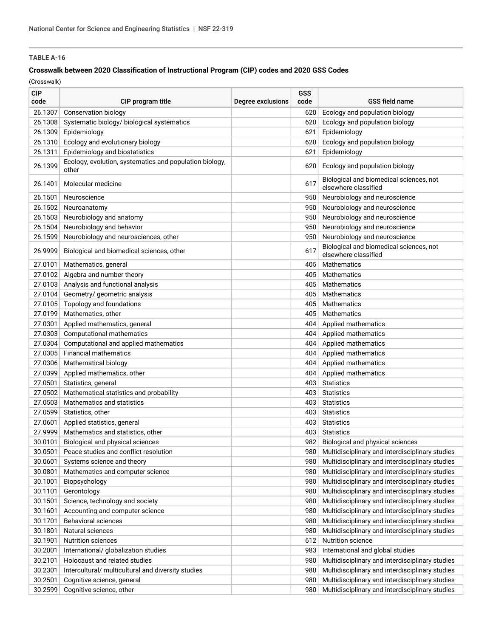### **Crosswalk between 2020 Classification of Instructional Program (CIP) codes and 2020 GSS Codes**

| <b>CIP</b><br>code | CIP program title                                                | Degree exclusions | GSS<br>code | <b>GSS field name</b>                                                                              |
|--------------------|------------------------------------------------------------------|-------------------|-------------|----------------------------------------------------------------------------------------------------|
| 26.1307            | Conservation biology                                             |                   | 620         | Ecology and population biology                                                                     |
| 26.1308            | Systematic biology/ biological systematics                       |                   | 620         | Ecology and population biology                                                                     |
| 26.1309            | Epidemiology                                                     |                   | 621         | Epidemiology                                                                                       |
| 26.1310            | Ecology and evolutionary biology                                 |                   | 620         | Ecology and population biology                                                                     |
| 26.1311            | Epidemiology and biostatistics                                   |                   | 621         | Epidemiology                                                                                       |
| 26.1399            | Ecology, evolution, systematics and population biology,<br>other |                   | 620         | Ecology and population biology                                                                     |
| 26.1401            | Molecular medicine                                               |                   | 617         | Biological and biomedical sciences, not<br>elsewhere classified                                    |
| 26.1501            | Neuroscience                                                     |                   | 950         | Neurobiology and neuroscience                                                                      |
| 26.1502            | Neuroanatomy                                                     |                   | 950         | Neurobiology and neuroscience                                                                      |
| 26.1503            | Neurobiology and anatomy                                         |                   | 950         | Neurobiology and neuroscience                                                                      |
| 26.1504            | Neurobiology and behavior                                        |                   | 950         | Neurobiology and neuroscience                                                                      |
| 26.1599            | Neurobiology and neurosciences, other                            |                   | 950         | Neurobiology and neuroscience                                                                      |
| 26.9999            | Biological and biomedical sciences, other                        |                   | 617         | Biological and biomedical sciences, not<br>elsewhere classified                                    |
| 27.0101            | Mathematics, general                                             |                   | 405         | <b>Mathematics</b>                                                                                 |
| 27.0102            | Algebra and number theory                                        |                   | 405         | <b>Mathematics</b>                                                                                 |
| 27.0103            | Analysis and functional analysis                                 |                   | 405         | <b>Mathematics</b>                                                                                 |
| 27.0104            | Geometry/ geometric analysis                                     |                   | 405         | <b>Mathematics</b>                                                                                 |
| 27.0105            | Topology and foundations                                         |                   | 405         | Mathematics                                                                                        |
| 27.0199            | Mathematics, other                                               |                   | 405         | <b>Mathematics</b>                                                                                 |
| 27.0301            | Applied mathematics, general                                     |                   | 404         | Applied mathematics                                                                                |
| 27.0303            | Computational mathematics                                        |                   | 404         | Applied mathematics                                                                                |
| 27.0304            | Computational and applied mathematics                            |                   | 404         | Applied mathematics                                                                                |
| 27.0305            | <b>Financial mathematics</b>                                     |                   | 404         | Applied mathematics                                                                                |
| 27.0306            | Mathematical biology                                             |                   | 404         | Applied mathematics                                                                                |
| 27.0399            | Applied mathematics, other                                       |                   | 404         | Applied mathematics                                                                                |
| 27.0501            | Statistics, general                                              |                   | 403         | <b>Statistics</b>                                                                                  |
| 27.0502            | Mathematical statistics and probability                          |                   | 403         | <b>Statistics</b>                                                                                  |
| 27.0503            | Mathematics and statistics                                       |                   | 403         | <b>Statistics</b>                                                                                  |
| 27.0599            | Statistics, other                                                |                   | 403         | <b>Statistics</b>                                                                                  |
| 27.0601            | Applied statistics, general                                      |                   | 403         | <b>Statistics</b>                                                                                  |
| 27.9999            | Mathematics and statistics, other                                |                   | 403         | <b>Statistics</b>                                                                                  |
| 30.0101            | Biological and physical sciences                                 |                   | 982         | Biological and physical sciences                                                                   |
| 30.0501            | Peace studies and conflict resolution                            |                   | 980         | Multidisciplinary and interdisciplinary studies                                                    |
| 30.0601            | Systems science and theory                                       |                   | 980         | Multidisciplinary and interdisciplinary studies                                                    |
| 30.0801            | Mathematics and computer science                                 |                   | 980         | Multidisciplinary and interdisciplinary studies                                                    |
| 30.1001            | Biopsychology                                                    |                   | 980         | Multidisciplinary and interdisciplinary studies                                                    |
| 30.1101            | Gerontology                                                      |                   | 980         | Multidisciplinary and interdisciplinary studies                                                    |
| 30.1501            | Science, technology and society                                  |                   | 980         | Multidisciplinary and interdisciplinary studies                                                    |
|                    |                                                                  |                   |             |                                                                                                    |
| 30.1601            | Accounting and computer science                                  |                   | 980         | Multidisciplinary and interdisciplinary studies<br>Multidisciplinary and interdisciplinary studies |
| 30.1701            | Behavioral sciences                                              |                   | 980         |                                                                                                    |
| 30.1801            | Natural sciences                                                 |                   | 980         | Multidisciplinary and interdisciplinary studies                                                    |
| 30.1901            | <b>Nutrition sciences</b>                                        |                   | 612         | Nutrition science                                                                                  |
| 30.2001            | International/ globalization studies                             |                   | 983         | International and global studies                                                                   |
| 30.2101            | Holocaust and related studies                                    |                   | 980         | Multidisciplinary and interdisciplinary studies                                                    |
| 30.2301            | Intercultural/ multicultural and diversity studies               |                   | 980         | Multidisciplinary and interdisciplinary studies                                                    |
| 30.2501            | Cognitive science, general                                       |                   | 980         | Multidisciplinary and interdisciplinary studies                                                    |
| 30.2599            | Cognitive science, other                                         |                   | 980         | Multidisciplinary and interdisciplinary studies                                                    |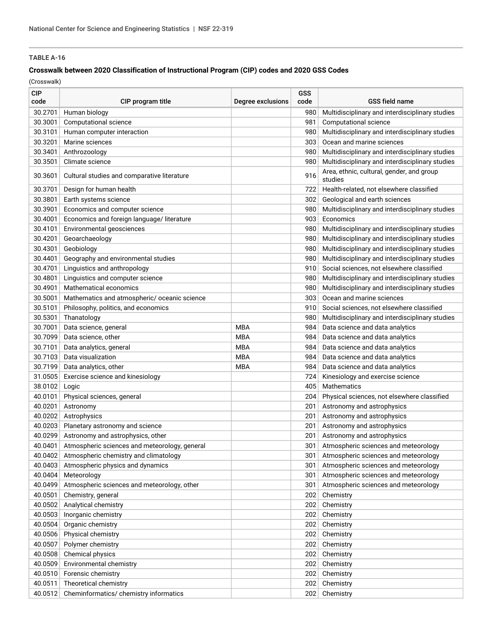### **Crosswalk between 2020 Classification of Instructional Program (CIP) codes and 2020 GSS Codes**

| <b>CIP</b><br>code | CIP program title                             | Degree exclusions | GSS<br>code | <b>GSS field name</b>                                |
|--------------------|-----------------------------------------------|-------------------|-------------|------------------------------------------------------|
| 30.2701            | Human biology                                 |                   | 980         | Multidisciplinary and interdisciplinary studies      |
| 30.3001            | Computational science                         |                   | 981         | Computational science                                |
| 30.3101            | Human computer interaction                    |                   | 980         | Multidisciplinary and interdisciplinary studies      |
| 30.3201            | Marine sciences                               |                   | 303         | Ocean and marine sciences                            |
| 30.3401            | Anthrozoology                                 |                   | 980         | Multidisciplinary and interdisciplinary studies      |
| 30.3501            | Climate science                               |                   | 980         | Multidisciplinary and interdisciplinary studies      |
| 30.3601            | Cultural studies and comparative literature   |                   | 916         | Area, ethnic, cultural, gender, and group<br>studies |
| 30.3701            | Design for human health                       |                   | 722         | Health-related, not elsewhere classified             |
| 30.3801            | Earth systems science                         |                   | 302         | Geological and earth sciences                        |
| 30.3901            | Economics and computer science                |                   | 980         | Multidisciplinary and interdisciplinary studies      |
| 30.4001            | Economics and foreign language/ literature    |                   | 903         | Economics                                            |
| 30.4101            | Environmental geosciences                     |                   | 980         | Multidisciplinary and interdisciplinary studies      |
| 30.4201            | Geoarchaeology                                |                   | 980         | Multidisciplinary and interdisciplinary studies      |
| 30.4301            | Geobiology                                    |                   | 980         | Multidisciplinary and interdisciplinary studies      |
| 30.4401            | Geography and environmental studies           |                   | 980         | Multidisciplinary and interdisciplinary studies      |
| 30.4701            | Linguistics and anthropology                  |                   | 910         | Social sciences, not elsewhere classified            |
| 30.4801            | Linguistics and computer science              |                   | 980         | Multidisciplinary and interdisciplinary studies      |
| 30.4901            | Mathematical economics                        |                   | 980         | Multidisciplinary and interdisciplinary studies      |
| 30.5001            | Mathematics and atmospheric/ oceanic science  |                   | 303         | Ocean and marine sciences                            |
| 30.5101            | Philosophy, politics, and economics           |                   | 910         | Social sciences, not elsewhere classified            |
| 30.5301            | Thanatology                                   |                   | 980         | Multidisciplinary and interdisciplinary studies      |
| 30.7001            | Data science, general                         | <b>MBA</b>        | 984         | Data science and data analytics                      |
| 30.7099            | Data science, other                           | <b>MBA</b>        | 984         | Data science and data analytics                      |
| 30.7101            | Data analytics, general                       | <b>MBA</b>        | 984         | Data science and data analytics                      |
| 30.7103            | Data visualization                            | <b>MBA</b>        | 984         | Data science and data analytics                      |
| 30.7199            | Data analytics, other                         | MBA               | 984         | Data science and data analytics                      |
| 31.0505            | Exercise science and kinesiology              |                   | 724         | Kinesiology and exercise science                     |
| 38.0102            | Logic                                         |                   | 405         | Mathematics                                          |
| 40.0101            | Physical sciences, general                    |                   | 204         | Physical sciences, not elsewhere classified          |
| 40.0201            | Astronomy                                     |                   | 201         | Astronomy and astrophysics                           |
| 40.0202            | Astrophysics                                  |                   | 201         | Astronomy and astrophysics                           |
| 40.0203            | Planetary astronomy and science               |                   | 201         | Astronomy and astrophysics                           |
| 40.0299            | Astronomy and astrophysics, other             |                   | 201         | Astronomy and astrophysics                           |
| 40.0401            | Atmospheric sciences and meteorology, general |                   | 301         | Atmospheric sciences and meteorology                 |
| 40.0402            | Atmospheric chemistry and climatology         |                   | 301         | Atmospheric sciences and meteorology                 |
| 40.0403            | Atmospheric physics and dynamics              |                   | 301         | Atmospheric sciences and meteorology                 |
|                    |                                               |                   |             |                                                      |
| 40.0404            | Meteorology                                   |                   | 301         | Atmospheric sciences and meteorology                 |
| 40.0499            | Atmospheric sciences and meteorology, other   |                   | 301         | Atmospheric sciences and meteorology                 |
| 40.0501            | Chemistry, general                            |                   | 202         | Chemistry                                            |
| 40.0502            | Analytical chemistry                          |                   | 202         | Chemistry                                            |
| 40.0503            | Inorganic chemistry                           |                   | 202         | Chemistry                                            |
| 40.0504            | Organic chemistry                             |                   | 202         | Chemistry                                            |
| 40.0506            | Physical chemistry                            |                   | 202         | Chemistry                                            |
| 40.0507            | Polymer chemistry                             |                   | 202         | Chemistry                                            |
| 40.0508            | Chemical physics                              |                   | 202         | Chemistry                                            |
| 40.0509            | Environmental chemistry                       |                   | 202         | Chemistry                                            |
| 40.0510            | Forensic chemistry                            |                   | 202         | Chemistry                                            |
| 40.0511            | Theoretical chemistry                         |                   | 202         | Chemistry                                            |
| 40.0512            | Cheminformatics/ chemistry informatics        |                   | 202         | Chemistry                                            |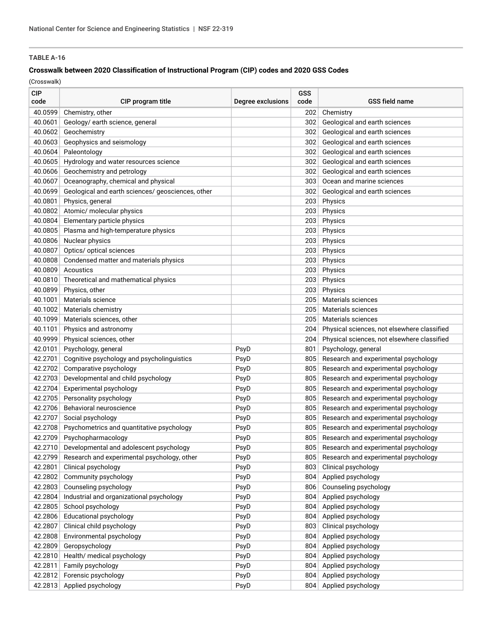### **Crosswalk between 2020 Classification of Instructional Program (CIP) codes and 2020 GSS Codes**

| <b>CIP</b><br>code | CIP program title                                   | Degree exclusions | GSS<br>code | GSS field name                              |
|--------------------|-----------------------------------------------------|-------------------|-------------|---------------------------------------------|
| 40.0599            | Chemistry, other                                    |                   | 202         | Chemistry                                   |
| 40.0601            | Geology/ earth science, general                     |                   | 302         | Geological and earth sciences               |
| 40.0602            | Geochemistry                                        |                   | 302         | Geological and earth sciences               |
| 40.0603            | Geophysics and seismology                           |                   | 302         | Geological and earth sciences               |
| 40.0604            | Paleontology                                        |                   | 302         | Geological and earth sciences               |
| 40.0605            | Hydrology and water resources science               |                   | 302         | Geological and earth sciences               |
| 40.0606            | Geochemistry and petrology                          |                   | 302         | Geological and earth sciences               |
| 40.0607            | Oceanography, chemical and physical                 |                   | 303         | Ocean and marine sciences                   |
| 40.0699            | Geological and earth sciences/ geosciences, other   |                   | 302         | Geological and earth sciences               |
| 40.0801            | Physics, general                                    |                   | 203         | Physics                                     |
| 40.0802            | Atomic/ molecular physics                           |                   | 203         | Physics                                     |
| 40.0804            | Elementary particle physics                         |                   | 203         | Physics                                     |
| 40.0805            | Plasma and high-temperature physics                 |                   | 203         | Physics                                     |
| 40.0806            | Nuclear physics                                     |                   | 203         | Physics                                     |
| 40.0807            | Optics/ optical sciences                            |                   | 203         | Physics                                     |
| 40.0808            | Condensed matter and materials physics              |                   | 203         | Physics                                     |
| 40.0809            | Acoustics                                           |                   | 203         | Physics                                     |
| 40.0810            | Theoretical and mathematical physics                |                   | 203         | Physics                                     |
| 40.0899            | Physics, other                                      |                   | 203         | Physics                                     |
| 40.1001            | Materials science                                   |                   | 205         | Materials sciences                          |
| 40.1002            | Materials chemistry                                 |                   | 205         | Materials sciences                          |
| 40.1099            | Materials sciences, other                           |                   | 205         | Materials sciences                          |
| 40.1101            | Physics and astronomy                               |                   | 204         | Physical sciences, not elsewhere classified |
| 40.9999            | Physical sciences, other                            |                   | 204         | Physical sciences, not elsewhere classified |
| 42.0101            | Psychology, general                                 | PsyD              | 801         | Psychology, general                         |
| 42.2701            | Cognitive psychology and psycholinguistics          | PsyD              | 805         | Research and experimental psychology        |
| 42.2702            | Comparative psychology                              | PsyD              | 805         | Research and experimental psychology        |
| 42.2703            | Developmental and child psychology                  | PsyD              | 805         | Research and experimental psychology        |
| 42.2704            | Experimental psychology                             | PsyD              | 805         | Research and experimental psychology        |
| 42.2705            | Personality psychology                              | PsyD              | 805         | Research and experimental psychology        |
| 42.2706            | Behavioral neuroscience                             | PsyD              | 805         | Research and experimental psychology        |
| 42.2707            | Social psychology                                   | PsyD              | 805         | Research and experimental psychology        |
| 42.2708            | Psychometrics and quantitative psychology           | PsyD              | 805         | Research and experimental psychology        |
| 42.2709            | Psychopharmacology                                  | PsyD              | 805         | Research and experimental psychology        |
|                    | 42.2710 Developmental and adolescent psychology     | PsyD              | 805         | Research and experimental psychology        |
|                    | 42.2799 Research and experimental psychology, other | PsyD              | 805         | Research and experimental psychology        |
| 42.2801            | Clinical psychology                                 | PsyD              | 803         | Clinical psychology                         |
| 42.2802            | Community psychology                                | PsyD              | 804         | Applied psychology                          |
| 42.2803            | Counseling psychology                               | PsyD              | 806         | Counseling psychology                       |
| 42.2804            | Industrial and organizational psychology            | PsyD              | 804         | Applied psychology                          |
| 42.2805            | School psychology                                   | PsyD              | 804         | Applied psychology                          |
| 42.2806            | <b>Educational psychology</b>                       | PsyD              | 804         | Applied psychology                          |
| 42.2807            | Clinical child psychology                           | PsyD              | 803         | Clinical psychology                         |
| 42.2808            | Environmental psychology                            | PsyD              | 804         | Applied psychology                          |
| 42.2809            | Geropsychology                                      | PsyD              | 804         | Applied psychology                          |
| 42.2810            | Health/ medical psychology                          | PsyD              | 804         | Applied psychology                          |
| 42.2811            | Family psychology                                   | PsyD              | 804         | Applied psychology                          |
| 42.2812            | Forensic psychology                                 | PsyD              | 804         | Applied psychology                          |
| 42.2813            | Applied psychology                                  | PsyD              | 804         | Applied psychology                          |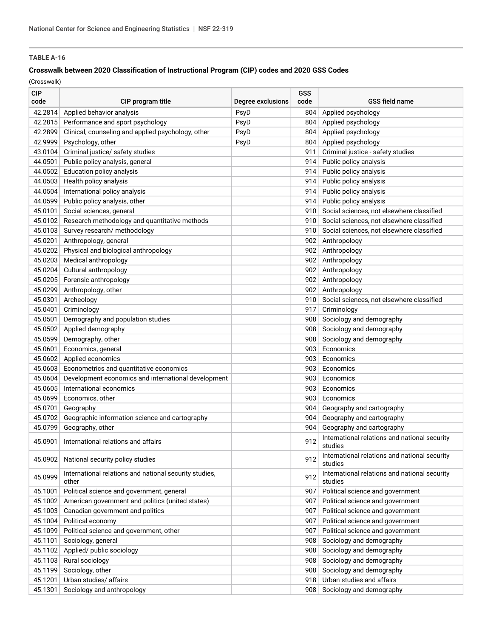### **Crosswalk between 2020 Classification of Instructional Program (CIP) codes and 2020 GSS Codes**

| <b>CIP</b><br>code | CIP program title                                               | Degree exclusions | GSS<br>code | <b>GSS field name</b>                                    |
|--------------------|-----------------------------------------------------------------|-------------------|-------------|----------------------------------------------------------|
| 42.2814            | Applied behavior analysis                                       | PsyD              | 804         | Applied psychology                                       |
| 42.2815            | Performance and sport psychology                                | PsyD              | 804         | Applied psychology                                       |
| 42.2899            | Clinical, counseling and applied psychology, other              | PsyD              | 804         | Applied psychology                                       |
| 42.9999            | Psychology, other                                               | PsyD              | 804         | Applied psychology                                       |
| 43.0104            | Criminal justice/ safety studies                                |                   | 911         | Criminal justice - safety studies                        |
| 44.0501            | Public policy analysis, general                                 |                   | 914         | Public policy analysis                                   |
| 44.0502            | Education policy analysis                                       |                   | 914         | Public policy analysis                                   |
| 44.0503            | Health policy analysis                                          |                   | 914         | Public policy analysis                                   |
| 44.0504            | International policy analysis                                   |                   | 914         | Public policy analysis                                   |
| 44.0599            | Public policy analysis, other                                   |                   | 914         | Public policy analysis                                   |
| 45.0101            | Social sciences, general                                        |                   | 910         | Social sciences, not elsewhere classified                |
| 45.0102            | Research methodology and quantitative methods                   |                   | 910         | Social sciences, not elsewhere classified                |
| 45.0103            | Survey research/ methodology                                    |                   | 910         | Social sciences, not elsewhere classified                |
| 45.0201            | Anthropology, general                                           |                   | 902         | Anthropology                                             |
| 45.0202            | Physical and biological anthropology                            |                   | 902         | Anthropology                                             |
| 45.0203            | Medical anthropology                                            |                   | 902         | Anthropology                                             |
|                    | Cultural anthropology                                           |                   | 902         |                                                          |
| 45.0204            |                                                                 |                   |             | Anthropology                                             |
| 45.0205            | Forensic anthropology                                           |                   | 902         | Anthropology                                             |
| 45.0299            | Anthropology, other                                             |                   | 902         | Anthropology                                             |
| 45.0301            | Archeology                                                      |                   | 910         | Social sciences, not elsewhere classified                |
| 45.0401            | Criminology                                                     |                   | 917         | Criminology                                              |
| 45.0501            | Demography and population studies                               |                   | 908         | Sociology and demography                                 |
| 45.0502            | Applied demography                                              |                   | 908         | Sociology and demography                                 |
| 45.0599            | Demography, other                                               |                   | 908         | Sociology and demography                                 |
| 45.0601            | Economics, general                                              |                   | 903         | Economics                                                |
| 45.0602            | Applied economics                                               |                   | 903         | Economics                                                |
| 45.0603            | Econometrics and quantitative economics                         |                   | 903         | Economics                                                |
| 45.0604            | Development economics and international development             |                   | 903         | Economics                                                |
| 45.0605            | International economics                                         |                   | 903         | Economics                                                |
| 45.0699            | Economics, other                                                |                   | 903         | Economics                                                |
| 45.0701            | Geography                                                       |                   | 904         | Geography and cartography                                |
| 45.0702            | Geographic information science and cartography                  |                   | 904         | Geography and cartography                                |
| 45.0799            | Geography, other                                                |                   | 904         | Geography and cartography                                |
| 45.0901            | International relations and affairs                             |                   | 912         | International relations and national security<br>studies |
| 45.0902            | National security policy studies                                |                   | 912         | International relations and national security<br>studies |
| 45.0999            | International relations and national security studies,<br>other |                   | 912         | International relations and national security<br>studies |
| 45.1001            | Political science and government, general                       |                   | 907         | Political science and government                         |
| 45.1002            | American government and politics (united states)                |                   | 907         | Political science and government                         |
| 45.1003            | Canadian government and politics                                |                   | 907         | Political science and government                         |
| 45.1004            | Political economy                                               |                   | 907         | Political science and government                         |
| 45.1099            | Political science and government, other                         |                   | 907         | Political science and government                         |
| 45.1101            | Sociology, general                                              |                   | 908         | Sociology and demography                                 |
| 45.1102            | Applied/ public sociology                                       |                   | 908         | Sociology and demography                                 |
| 45.1103            | Rural sociology                                                 |                   | 908         | Sociology and demography                                 |
| 45.1199            | Sociology, other                                                |                   | 908         | Sociology and demography                                 |
| 45.1201            | Urban studies/ affairs                                          |                   | 918         | Urban studies and affairs                                |
| 45.1301            | Sociology and anthropology                                      |                   | 908         | Sociology and demography                                 |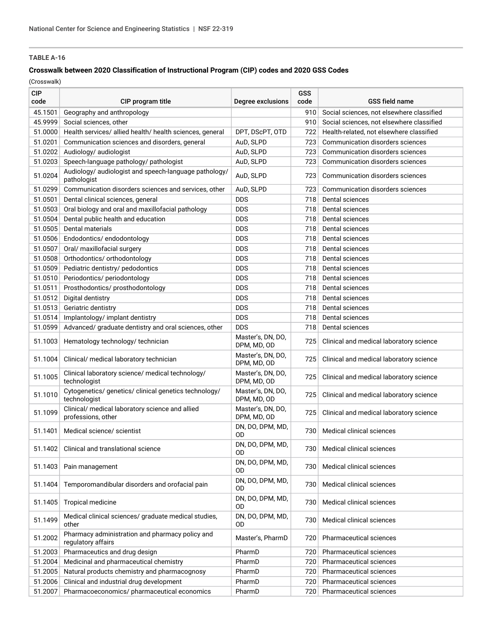### **Crosswalk between 2020 Classification of Instructional Program (CIP) codes and 2020 GSS Codes**

| <b>CIP</b><br>code | CIP program title                                                     | Degree exclusions                | GSS<br>code | <b>GSS field name</b>                     |
|--------------------|-----------------------------------------------------------------------|----------------------------------|-------------|-------------------------------------------|
| 45.1501            | Geography and anthropology                                            |                                  | 910         | Social sciences, not elsewhere classified |
| 45.9999            | Social sciences, other                                                |                                  | 910         | Social sciences, not elsewhere classified |
| 51.0000            | Health services/ allied health/ health sciences, general              | DPT, DScPT, OTD                  | 722         | Health-related, not elsewhere classified  |
| 51.0201            | Communication sciences and disorders, general                         | AuD, SLPD                        | 723         | Communication disorders sciences          |
| 51.0202            | Audiology/ audiologist                                                | AuD, SLPD                        | 723         | Communication disorders sciences          |
| 51.0203            | Speech-language pathology/ pathologist                                | AuD, SLPD                        | 723         | Communication disorders sciences          |
| 51.0204            | Audiology/ audiologist and speech-language pathology/<br>pathologist  | AuD, SLPD                        | 723         | Communication disorders sciences          |
| 51.0299            | Communication disorders sciences and services, other                  | AuD, SLPD                        | 723         | Communication disorders sciences          |
| 51.0501            | Dental clinical sciences, general                                     | <b>DDS</b>                       | 718         | Dental sciences                           |
| 51.0503            | Oral biology and oral and maxillofacial pathology                     | <b>DDS</b>                       | 718         | Dental sciences                           |
| 51.0504            | Dental public health and education                                    | <b>DDS</b>                       | 718         | Dental sciences                           |
| 51.0505            | Dental materials                                                      | <b>DDS</b>                       | 718         | Dental sciences                           |
| 51.0506            | Endodontics/endodontology                                             | <b>DDS</b>                       | 718         | Dental sciences                           |
| 51.0507            | Oral/ maxillofacial surgery                                           | <b>DDS</b>                       | 718         | Dental sciences                           |
| 51.0508            | Orthodontics/ orthodontology                                          | <b>DDS</b>                       | 718         | Dental sciences                           |
| 51.0509            | Pediatric dentistry/ pedodontics                                      | <b>DDS</b>                       | 718         | Dental sciences                           |
| 51.0510            | Periodontics/ periodontology                                          | <b>DDS</b>                       | 718         | Dental sciences                           |
| 51.0511            | Prosthodontics/prosthodontology                                       | <b>DDS</b>                       | 718         | Dental sciences                           |
| 51.0512            | Digital dentistry                                                     | <b>DDS</b>                       | 718         | Dental sciences                           |
| 51.0513            | Geriatric dentistry                                                   | <b>DDS</b>                       | 718         | Dental sciences                           |
| 51.0514            | Implantology/ implant dentistry                                       | <b>DDS</b>                       | 718         | Dental sciences                           |
| 51.0599            | Advanced/ graduate dentistry and oral sciences, other                 | <b>DDS</b>                       | 718         | Dental sciences                           |
| 51.1003            | Hematology technology/ technician                                     | Master's, DN, DO,<br>DPM, MD, OD | 725         | Clinical and medical laboratory science   |
| 51.1004            | Clinical/ medical laboratory technician                               | Master's, DN, DO,<br>DPM, MD, OD | 725         | Clinical and medical laboratory science   |
| 51.1005            | Clinical laboratory science/ medical technology/<br>technologist      | Master's, DN, DO,<br>DPM, MD, OD | 725         | Clinical and medical laboratory science   |
| 51.1010            | Cytogenetics/ genetics/ clinical genetics technology/<br>technologist | Master's, DN, DO,<br>DPM, MD, OD | 725         | Clinical and medical laboratory science   |
| 51.1099            | Clinical/ medical laboratory science and allied<br>professions, other | Master's, DN, DO,<br>DPM, MD, OD | 725         | Clinical and medical laboratory science   |
| 51.1401            | Medical science/ scientist                                            | DN, DO, DPM, MD,<br>0D           | 730         | Medical clinical sciences                 |
|                    | 51.1402 Clinical and translational science                            | DN, DO, DPM, MD,<br>OD           |             | 730 Medical clinical sciences             |
| 51.1403            | Pain management                                                       | DN, DO, DPM, MD,<br>OD           | 730         | Medical clinical sciences                 |
| 51.1404            | Temporomandibular disorders and orofacial pain                        | DN, DO, DPM, MD,<br>OD           | 730         | Medical clinical sciences                 |
| 51.1405            | Tropical medicine                                                     | DN, DO, DPM, MD,<br><b>OD</b>    | 730         | Medical clinical sciences                 |
| 51.1499            | Medical clinical sciences/ graduate medical studies,<br>other         | DN, DO, DPM, MD,<br>0D           | 730         | Medical clinical sciences                 |
| 51.2002            | Pharmacy administration and pharmacy policy and<br>regulatory affairs | Master's, PharmD                 | 720         | Pharmaceutical sciences                   |
| 51.2003            | Pharmaceutics and drug design                                         | PharmD                           | 720         | <b>Pharmaceutical sciences</b>            |
| 51.2004            | Medicinal and pharmaceutical chemistry                                | PharmD                           | 720         | Pharmaceutical sciences                   |
| 51.2005            | Natural products chemistry and pharmacognosy                          | PharmD                           | 720         | Pharmaceutical sciences                   |
| 51.2006            | Clinical and industrial drug development                              | PharmD                           | 720         | Pharmaceutical sciences                   |
| 51.2007            | Pharmacoeconomics/ pharmaceutical economics                           | PharmD                           | 720         | Pharmaceutical sciences                   |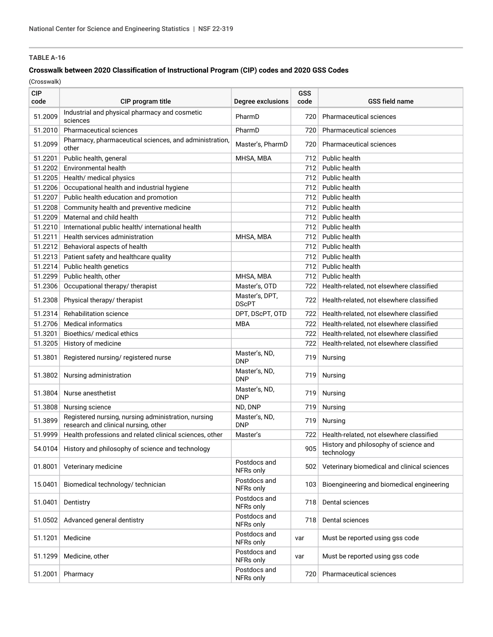### **Crosswalk between 2020 Classification of Instructional Program (CIP) codes and 2020 GSS Codes**

| <b>CIP</b><br>code | CIP program title                                                                           | Degree exclusions              | GSS<br>code | <b>GSS field name</b>                               |
|--------------------|---------------------------------------------------------------------------------------------|--------------------------------|-------------|-----------------------------------------------------|
| 51.2009            | Industrial and physical pharmacy and cosmetic<br>sciences                                   | PharmD                         | 720         | <b>Pharmaceutical sciences</b>                      |
| 51.2010            | Pharmaceutical sciences                                                                     | PharmD                         | 720         | <b>Pharmaceutical sciences</b>                      |
| 51.2099            | Pharmacy, pharmaceutical sciences, and administration,<br>other                             | Master's, PharmD               | 720         | Pharmaceutical sciences                             |
| 51.2201            | Public health, general                                                                      | MHSA, MBA                      | 712         | Public health                                       |
| 51.2202            | <b>Environmental health</b>                                                                 |                                | 712         | Public health                                       |
| 51.2205            | Health/ medical physics                                                                     |                                | 712         | Public health                                       |
| 51.2206            | Occupational health and industrial hygiene                                                  |                                | 712         | Public health                                       |
| 51.2207            | Public health education and promotion                                                       |                                | 712         | Public health                                       |
| 51.2208            | Community health and preventive medicine                                                    |                                | 712         | Public health                                       |
| 51.2209            | Maternal and child health                                                                   |                                | 712         | Public health                                       |
| 51.2210            | International public health/ international health                                           |                                | 712         | Public health                                       |
| 51.2211            | Health services administration                                                              | MHSA, MBA                      | 712         | Public health                                       |
| 51.2212            | Behavioral aspects of health                                                                |                                | 712         | Public health                                       |
| 51.2213            | Patient safety and healthcare quality                                                       |                                | 712         | Public health                                       |
| 51.2214            | Public health genetics                                                                      |                                | 712         | Public health                                       |
| 51.2299            | Public health, other                                                                        | MHSA, MBA                      | 712         | Public health                                       |
| 51.2306            | Occupational therapy/ therapist                                                             | Master's, OTD                  | 722         | Health-related, not elsewhere classified            |
| 51.2308            | Physical therapy/ therapist                                                                 | Master's, DPT,<br><b>DScPT</b> | 722         | Health-related, not elsewhere classified            |
| 51.2314            | Rehabilitation science                                                                      | DPT, DScPT, OTD                | 722         | Health-related, not elsewhere classified            |
| 51.2706            | <b>Medical informatics</b>                                                                  | <b>MBA</b>                     | 722         | Health-related, not elsewhere classified            |
| 51.3201            | Bioethics/ medical ethics                                                                   |                                | 722         | Health-related, not elsewhere classified            |
| 51.3205            | History of medicine                                                                         |                                | 722         | Health-related, not elsewhere classified            |
| 51.3801            | Registered nursing/registered nurse                                                         | Master's, ND,<br><b>DNP</b>    | 719         | Nursing                                             |
| 51.3802            | Nursing administration                                                                      | Master's, ND,<br><b>DNP</b>    | 719         | Nursing                                             |
| 51.3804            | Nurse anesthetist                                                                           | Master's, ND,<br><b>DNP</b>    | 719         | Nursing                                             |
| 51.3808            | Nursing science                                                                             | ND, DNP                        | 719         | Nursing                                             |
| 51.3899            | Registered nursing, nursing administration, nursing<br>research and clinical nursing, other | Master's, ND,<br><b>DNP</b>    | 719         | Nursing                                             |
| 51.9999            | Health professions and related clinical sciences, other                                     | Master's                       | 7221        | Health-related, not elsewhere classified            |
|                    | 54.0104 History and philosophy of science and technology                                    |                                | 905         | History and philosophy of science and<br>technology |
| 01.8001            | Veterinary medicine                                                                         | Postdocs and<br>NFRs only      | 502         | Veterinary biomedical and clinical sciences         |
| 15.0401            | Biomedical technology/ technician                                                           | Postdocs and<br>NFRs only      | 103         | Bioengineering and biomedical engineering           |
| 51.0401            | Dentistry                                                                                   | Postdocs and<br>NFRs only      | 718         | Dental sciences                                     |
| 51.0502            | Advanced general dentistry                                                                  | Postdocs and<br>NFRs only      | 718         | Dental sciences                                     |
| 51.1201            | Medicine                                                                                    | Postdocs and<br>NFRs only      | var         | Must be reported using gss code                     |
| 51.1299            | Medicine, other                                                                             | Postdocs and<br>NFRs only      | var         | Must be reported using gss code                     |
| 51.2001            | Pharmacy                                                                                    | Postdocs and<br>NFRs only      | 720         | Pharmaceutical sciences                             |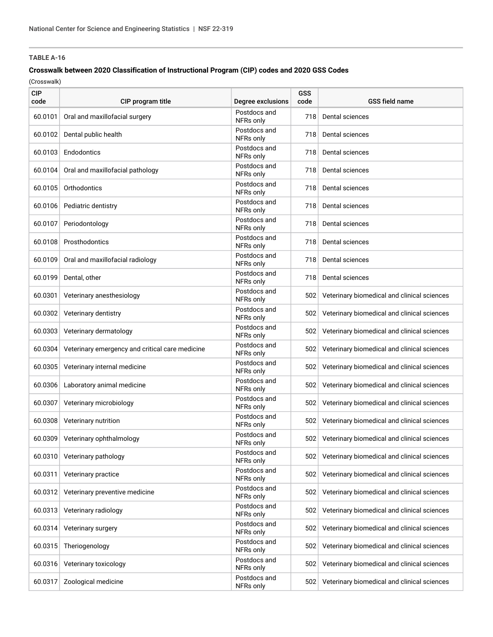### **Crosswalk between 2020 Classification of Instructional Program (CIP) codes and 2020 GSS Codes**

| <b>CIP</b><br>code | CIP program title                               | Degree exclusions         | GSS<br>code | <b>GSS field name</b>                       |
|--------------------|-------------------------------------------------|---------------------------|-------------|---------------------------------------------|
| 60.0101            | Oral and maxillofacial surgery                  | Postdocs and<br>NFRs only | 718         | Dental sciences                             |
| 60.0102            | Dental public health                            | Postdocs and<br>NFRs only | 718         | Dental sciences                             |
| 60.0103            | Endodontics                                     | Postdocs and<br>NFRs only | 718         | Dental sciences                             |
| 60.0104            | Oral and maxillofacial pathology                | Postdocs and<br>NFRs only | 718         | Dental sciences                             |
| 60.0105            | Orthodontics                                    | Postdocs and<br>NFRs only | 718         | Dental sciences                             |
| 60.0106            | Pediatric dentistry                             | Postdocs and<br>NFRs only | 718         | Dental sciences                             |
| 60.0107            | Periodontology                                  | Postdocs and<br>NFRs only | 718         | Dental sciences                             |
| 60.0108            | Prosthodontics                                  | Postdocs and<br>NFRs only | 718         | Dental sciences                             |
| 60.0109            | Oral and maxillofacial radiology                | Postdocs and<br>NFRs only | 718         | Dental sciences                             |
| 60.0199            | Dental, other                                   | Postdocs and<br>NFRs only | 718         | Dental sciences                             |
| 60.0301            | Veterinary anesthesiology                       | Postdocs and<br>NFRs only | 502         | Veterinary biomedical and clinical sciences |
| 60.0302            | Veterinary dentistry                            | Postdocs and<br>NFRs only | 502         | Veterinary biomedical and clinical sciences |
| 60.0303            | Veterinary dermatology                          | Postdocs and<br>NFRs only | 502         | Veterinary biomedical and clinical sciences |
| 60.0304            | Veterinary emergency and critical care medicine | Postdocs and<br>NFRs only | 502         | Veterinary biomedical and clinical sciences |
| 60.0305            | Veterinary internal medicine                    | Postdocs and<br>NFRs only | 502         | Veterinary biomedical and clinical sciences |
| 60.0306            | Laboratory animal medicine                      | Postdocs and<br>NFRs only | 502         | Veterinary biomedical and clinical sciences |
| 60.0307            | Veterinary microbiology                         | Postdocs and<br>NFRs only | 502         | Veterinary biomedical and clinical sciences |
| 60.0308            | Veterinary nutrition                            | Postdocs and<br>NFRs only | 502         | Veterinary biomedical and clinical sciences |
|                    | 60.0309 Veterinary ophthalmology                | Postdocs and<br>NFRs only | 502         | Veterinary biomedical and clinical sciences |
| 60.0310            | Veterinary pathology                            | Postdocs and<br>NFRs only | 502         | Veterinary biomedical and clinical sciences |
| 60.0311            | Veterinary practice                             | Postdocs and<br>NFRs only | 502         | Veterinary biomedical and clinical sciences |
| 60.0312            | Veterinary preventive medicine                  | Postdocs and<br>NFRs only | 502         | Veterinary biomedical and clinical sciences |
| 60.0313            | Veterinary radiology                            | Postdocs and<br>NFRs only | 502         | Veterinary biomedical and clinical sciences |
| 60.0314            | Veterinary surgery                              | Postdocs and<br>NFRs only | 502         | Veterinary biomedical and clinical sciences |
| 60.0315            | Theriogenology                                  | Postdocs and<br>NFRs only | 502         | Veterinary biomedical and clinical sciences |
| 60.0316            | Veterinary toxicology                           | Postdocs and<br>NFRs only | 502         | Veterinary biomedical and clinical sciences |
| 60.0317            | Zoological medicine                             | Postdocs and<br>NFRs only | 502         | Veterinary biomedical and clinical sciences |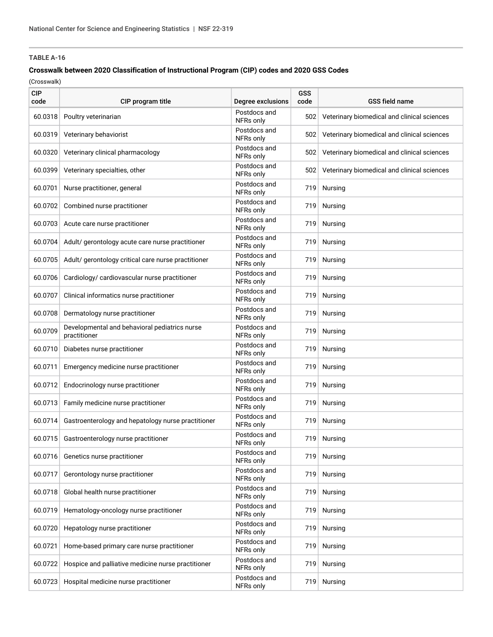### **Crosswalk between 2020 Classification of Instructional Program (CIP) codes and 2020 GSS Codes**

| <b>CIP</b><br>code | CIP program title                                             | Degree exclusions         | GSS<br>code | <b>GSS field name</b>                       |
|--------------------|---------------------------------------------------------------|---------------------------|-------------|---------------------------------------------|
| 60.0318            | Poultry veterinarian                                          | Postdocs and<br>NFRs only | 502         | Veterinary biomedical and clinical sciences |
| 60.0319            | Veterinary behaviorist                                        | Postdocs and<br>NFRs only | 502         | Veterinary biomedical and clinical sciences |
| 60.0320            | Veterinary clinical pharmacology                              | Postdocs and<br>NFRs only | 502         | Veterinary biomedical and clinical sciences |
| 60.0399            | Veterinary specialties, other                                 | Postdocs and<br>NFRs only | 502         | Veterinary biomedical and clinical sciences |
| 60.0701            | Nurse practitioner, general                                   | Postdocs and<br>NFRs only | 719         | Nursing                                     |
| 60.0702            | Combined nurse practitioner                                   | Postdocs and<br>NFRs only | 719         | Nursing                                     |
| 60.0703            | Acute care nurse practitioner                                 | Postdocs and<br>NFRs only | 719         | <b>Nursing</b>                              |
| 60.0704            | Adult/ gerontology acute care nurse practitioner              | Postdocs and<br>NFRs only | 719         | <b>Nursing</b>                              |
| 60.0705            | Adult/ gerontology critical care nurse practitioner           | Postdocs and<br>NFRs only | 719         | Nursing                                     |
| 60.0706            | Cardiology/ cardiovascular nurse practitioner                 | Postdocs and<br>NFRs only | 719         | Nursing                                     |
| 60.0707            | Clinical informatics nurse practitioner                       | Postdocs and<br>NFRs only | 719         | Nursing                                     |
| 60.0708            | Dermatology nurse practitioner                                | Postdocs and<br>NFRs only | 719         | <b>Nursing</b>                              |
| 60.0709            | Developmental and behavioral pediatrics nurse<br>practitioner | Postdocs and<br>NFRs only | 719         | <b>Nursing</b>                              |
| 60.0710            | Diabetes nurse practitioner                                   | Postdocs and<br>NFRs only | 719         | <b>Nursing</b>                              |
| 60.0711            | Emergency medicine nurse practitioner                         | Postdocs and<br>NFRs only | 719         | <b>Nursing</b>                              |
| 60.0712            | Endocrinology nurse practitioner                              | Postdocs and<br>NFRs only | 719         | <b>Nursing</b>                              |
| 60.0713            | Family medicine nurse practitioner                            | Postdocs and<br>NFRs only | 719         | <b>Nursing</b>                              |
|                    | 60.0714 Gastroenterology and hepatology nurse practitioner    | Postdocs and<br>NFRs only | 719         | <b>Nursing</b>                              |
|                    | 60.0715 Gastroenterology nurse practitioner                   | Postdocs and<br>NFRs only | 719         | Nursing                                     |
| 60.0716            | Genetics nurse practitioner                                   | Postdocs and<br>NFRs only | 719         | Nursing                                     |
| 60.0717            | Gerontology nurse practitioner                                | Postdocs and<br>NFRs only | 719         | Nursing                                     |
| 60.0718            | Global health nurse practitioner                              | Postdocs and<br>NFRs only | 719         | Nursing                                     |
| 60.0719            | Hematology-oncology nurse practitioner                        | Postdocs and<br>NFRs only | 719         | <b>Nursing</b>                              |
| 60.0720            | Hepatology nurse practitioner                                 | Postdocs and<br>NFRs only | 719         | Nursing                                     |
| 60.0721            | Home-based primary care nurse practitioner                    | Postdocs and<br>NFRs only | 719         | Nursing                                     |
| 60.0722            | Hospice and palliative medicine nurse practitioner            | Postdocs and<br>NFRs only | 719         | Nursing                                     |
| 60.0723            | Hospital medicine nurse practitioner                          | Postdocs and<br>NFRs only | 719         | Nursing                                     |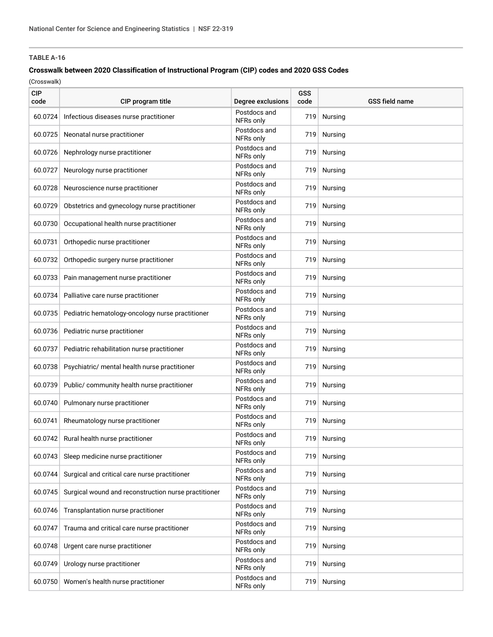### **Crosswalk between 2020 Classification of Instructional Program (CIP) codes and 2020 GSS Codes**

| <b>CIP</b><br>code | CIP program title                                        | Degree exclusions         | GSS<br>code | <b>GSS field name</b> |
|--------------------|----------------------------------------------------------|---------------------------|-------------|-----------------------|
| 60.0724            | Infectious diseases nurse practitioner                   | Postdocs and<br>NFRs only | 719         | <b>Nursing</b>        |
| 60.0725            | Neonatal nurse practitioner                              | Postdocs and<br>NFRs only | 719         | <b>Nursing</b>        |
| 60.0726            | Nephrology nurse practitioner                            | Postdocs and<br>NFRs only | 719         | <b>Nursing</b>        |
| 60.0727            | Neurology nurse practitioner                             | Postdocs and<br>NFRs only | 719         | Nursing               |
| 60.0728            | Neuroscience nurse practitioner                          | Postdocs and<br>NFRs only | 719         | Nursing               |
| 60.0729            | Obstetrics and gynecology nurse practitioner             | Postdocs and<br>NFRs only | 719         | <b>Nursing</b>        |
| 60.0730            | Occupational health nurse practitioner                   | Postdocs and<br>NFRs only | 719         | <b>Nursing</b>        |
| 60.0731            | Orthopedic nurse practitioner                            | Postdocs and<br>NFRs only | 719         | <b>Nursing</b>        |
| 60.0732            | Orthopedic surgery nurse practitioner                    | Postdocs and<br>NFRs only | 719         | <b>Nursing</b>        |
| 60.0733            | Pain management nurse practitioner                       | Postdocs and<br>NFRs only | 719         | <b>Nursing</b>        |
|                    | 60.0734 Palliative care nurse practitioner               | Postdocs and<br>NFRs only | 719         | <b>Nursing</b>        |
|                    | 60.0735 Pediatric hematology-oncology nurse practitioner | Postdocs and<br>NFRs only | 719         | Nursing               |
| 60.0736            | Pediatric nurse practitioner                             | Postdocs and<br>NFRs only | 719         | <b>Nursing</b>        |
| 60.0737            | Pediatric rehabilitation nurse practitioner              | Postdocs and<br>NFRs only | 719         | <b>Nursing</b>        |
| 60.0738            | Psychiatric/ mental health nurse practitioner            | Postdocs and<br>NFRs only | 719         | <b>Nursing</b>        |
| 60.0739            | Public/ community health nurse practitioner              | Postdocs and<br>NFRs only | 719         | <b>Nursing</b>        |
| 60.0740            | Pulmonary nurse practitioner                             | Postdocs and<br>NFRs only | 719         | <b>Nursing</b>        |
| 60.0741            | Rheumatology nurse practitioner                          | Postdocs and<br>NFRs only | 719         | <b>Nursing</b>        |
|                    | 60.0742 Rural health nurse practitioner                  | Postdocs and<br>NFRs only | 719         | Nursing               |
| 60.0743            | Sleep medicine nurse practitioner                        | Postdocs and<br>NFRs only | 719         | <b>Nursing</b>        |
| 60.0744            | Surgical and critical care nurse practitioner            | Postdocs and<br>NFRs only | 719         | Nursing               |
| 60.0745            | Surgical wound and reconstruction nurse practitioner     | Postdocs and<br>NFRs only | 719         | <b>Nursing</b>        |
| 60.0746            | Transplantation nurse practitioner                       | Postdocs and<br>NFRs only | 719         | <b>Nursing</b>        |
| 60.0747            | Trauma and critical care nurse practitioner              | Postdocs and<br>NFRs only | 719         | Nursing               |
| 60.0748            | Urgent care nurse practitioner                           | Postdocs and<br>NFRs only | 719         | <b>Nursing</b>        |
| 60.0749            | Urology nurse practitioner                               | Postdocs and<br>NFRs only | 719         | <b>Nursing</b>        |
| 60.0750            | Women's health nurse practitioner                        | Postdocs and<br>NFRs only | 719         | Nursing               |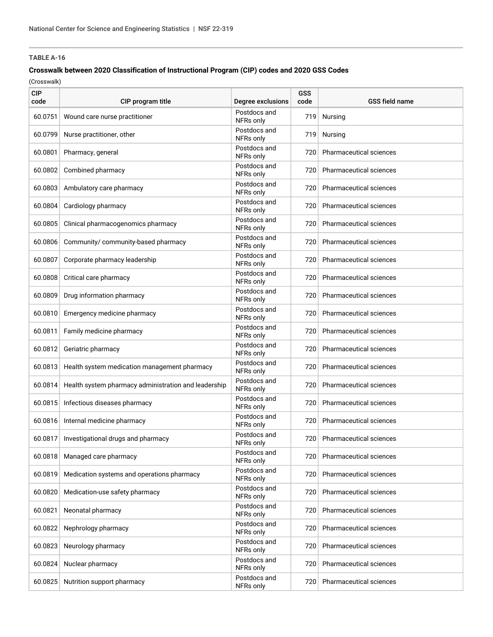### **Crosswalk between 2020 Classification of Instructional Program (CIP) codes and 2020 GSS Codes**

| <b>CIP</b><br>code | CIP program title                                    | Degree exclusions         | GSS<br>code | <b>GSS field name</b>          |
|--------------------|------------------------------------------------------|---------------------------|-------------|--------------------------------|
| 60.0751            | Wound care nurse practitioner                        | Postdocs and<br>NFRs only | 719         | Nursing                        |
| 60.0799            | Nurse practitioner, other                            | Postdocs and<br>NFRs only | 719         | Nursing                        |
| 60.0801            | Pharmacy, general                                    | Postdocs and<br>NFRs only | 720         | <b>Pharmaceutical sciences</b> |
| 60.0802            | Combined pharmacy                                    | Postdocs and<br>NFRs only | 720         | <b>Pharmaceutical sciences</b> |
| 60.0803            | Ambulatory care pharmacy                             | Postdocs and<br>NFRs only | 720         | Pharmaceutical sciences        |
| 60.0804            | Cardiology pharmacy                                  | Postdocs and<br>NFRs only | 720         | Pharmaceutical sciences        |
| 60.0805            | Clinical pharmacogenomics pharmacy                   | Postdocs and<br>NFRs only | 720         | Pharmaceutical sciences        |
| 60.0806            | Community/ community-based pharmacy                  | Postdocs and<br>NFRs only | 720         | Pharmaceutical sciences        |
| 60.0807            | Corporate pharmacy leadership                        | Postdocs and<br>NFRs only | 720         | Pharmaceutical sciences        |
| 60.0808            | Critical care pharmacy                               | Postdocs and<br>NFRs only | 720         | <b>Pharmaceutical sciences</b> |
| 60.0809            | Drug information pharmacy                            | Postdocs and<br>NFRs only | 720         | <b>Pharmaceutical sciences</b> |
|                    | 60.0810 Emergency medicine pharmacy                  | Postdocs and<br>NFRs only | 720         | <b>Pharmaceutical sciences</b> |
| 60.0811            | Family medicine pharmacy                             | Postdocs and<br>NFRs only | 720         | Pharmaceutical sciences        |
| 60.0812            | Geriatric pharmacy                                   | Postdocs and<br>NFRs only | 720         | Pharmaceutical sciences        |
|                    | 60.0813 Health system medication management pharmacy | Postdocs and<br>NFRs only | 720         | <b>Pharmaceutical sciences</b> |
| 60.0814            | Health system pharmacy administration and leadership | Postdocs and<br>NFRs only | 720         | Pharmaceutical sciences        |
| 60.0815            | Infectious diseases pharmacy                         | Postdocs and<br>NFRs only | 720         | <b>Pharmaceutical sciences</b> |
|                    | 60.0816 Internal medicine pharmacy                   | Postdocs and<br>NFRs only | 720         | <b>Pharmaceutical sciences</b> |
| 60.0817            | Investigational drugs and pharmacy                   | Postdocs and<br>NFRs only | 720         | Pharmaceutical sciences        |
| 60.0818            | Managed care pharmacy                                | Postdocs and<br>NFRs only | 720         | Pharmaceutical sciences        |
| 60.0819            | Medication systems and operations pharmacy           | Postdocs and<br>NFRs only | 720         | Pharmaceutical sciences        |
| 60.0820            | Medication-use safety pharmacy                       | Postdocs and<br>NFRs only | 720         | Pharmaceutical sciences        |
| 60.0821            | Neonatal pharmacy                                    | Postdocs and<br>NFRs only | 720         | Pharmaceutical sciences        |
| 60.0822            | Nephrology pharmacy                                  | Postdocs and<br>NFRs only | 720         | Pharmaceutical sciences        |
| 60.0823            | Neurology pharmacy                                   | Postdocs and<br>NFRs only | 720         | Pharmaceutical sciences        |
| 60.0824            | Nuclear pharmacy                                     | Postdocs and<br>NFRs only | 720         | Pharmaceutical sciences        |
| 60.0825            | Nutrition support pharmacy                           | Postdocs and<br>NFRs only | 720         | Pharmaceutical sciences        |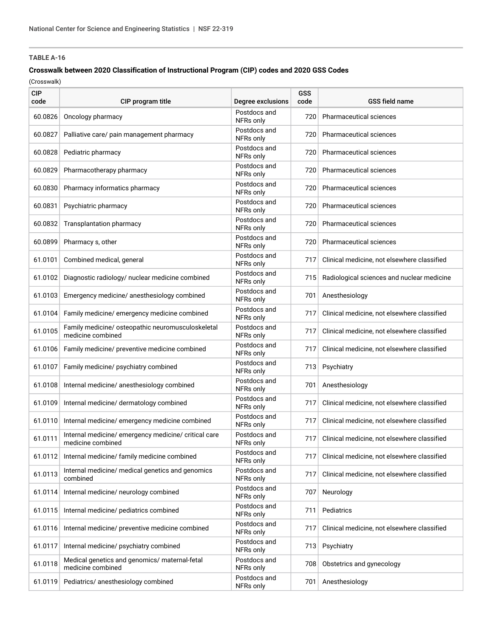### **Crosswalk between 2020 Classification of Instructional Program (CIP) codes and 2020 GSS Codes**

| <b>CIP</b><br>code | CIP program title                                                         | Degree exclusions         | GSS<br>code | <b>GSS field name</b>                       |
|--------------------|---------------------------------------------------------------------------|---------------------------|-------------|---------------------------------------------|
| 60.0826            | Oncology pharmacy                                                         | Postdocs and<br>NFRs only | 720         | Pharmaceutical sciences                     |
| 60.0827            | Palliative care/ pain management pharmacy                                 | Postdocs and<br>NFRs only | 720         | Pharmaceutical sciences                     |
| 60.0828            | Pediatric pharmacy                                                        | Postdocs and<br>NFRs only | 720         | <b>Pharmaceutical sciences</b>              |
| 60.0829            | Pharmacotherapy pharmacy                                                  | Postdocs and<br>NFRs only | 720         | <b>Pharmaceutical sciences</b>              |
| 60.0830            | Pharmacy informatics pharmacy                                             | Postdocs and<br>NFRs only | 720         | <b>Pharmaceutical sciences</b>              |
| 60.0831            | Psychiatric pharmacy                                                      | Postdocs and<br>NFRs only | 720         | <b>Pharmaceutical sciences</b>              |
| 60.0832            | Transplantation pharmacy                                                  | Postdocs and<br>NFRs only | 720         | Pharmaceutical sciences                     |
| 60.0899            | Pharmacy s, other                                                         | Postdocs and<br>NFRs only | 720         | Pharmaceutical sciences                     |
| 61.0101            | Combined medical, general                                                 | Postdocs and<br>NFRs only | 717         | Clinical medicine, not elsewhere classified |
| 61.0102            | Diagnostic radiology/ nuclear medicine combined                           | Postdocs and<br>NFRs only | 715         | Radiological sciences and nuclear medicine  |
| 61.0103            | Emergency medicine/ anesthesiology combined                               | Postdocs and<br>NFRs only | 701         | Anesthesiology                              |
| 61.0104            | Family medicine/ emergency medicine combined                              | Postdocs and<br>NFRs only | 717         | Clinical medicine, not elsewhere classified |
| 61.0105            | Family medicine/ osteopathic neuromusculoskeletal<br>medicine combined    | Postdocs and<br>NFRs only | 717         | Clinical medicine, not elsewhere classified |
| 61.0106            | Family medicine/ preventive medicine combined                             | Postdocs and<br>NFRs only | 717         | Clinical medicine, not elsewhere classified |
| 61.0107            | Family medicine/ psychiatry combined                                      | Postdocs and<br>NFRs only | 713         | Psychiatry                                  |
| 61.0108            | Internal medicine/ anesthesiology combined                                | Postdocs and<br>NFRs only | 701         | Anesthesiology                              |
| 61.0109            | Internal medicine/ dermatology combined                                   | Postdocs and<br>NFRs only | 717         | Clinical medicine, not elsewhere classified |
| 61.0110            | Internal medicine/ emergency medicine combined                            | Postdocs and<br>NFRs only | 717         | Clinical medicine, not elsewhere classified |
| 61.0111            | Internal medicine/ emergency medicine/ critical care<br>medicine combined | Postdocs and<br>NFRs only | 717         | Clinical medicine, not elsewhere classified |
| 61.0112            | Internal medicine/ family medicine combined                               | Postdocs and<br>NFRs only | 717         | Clinical medicine, not elsewhere classified |
| 61.0113            | Internal medicine/ medical genetics and genomics<br>combined              | Postdocs and<br>NFRs only | 717         | Clinical medicine, not elsewhere classified |
| 61.0114            | Internal medicine/ neurology combined                                     | Postdocs and<br>NFRs only | 707         | Neurology                                   |
| 61.0115            | Internal medicine/ pediatrics combined                                    | Postdocs and<br>NFRs only | 711         | Pediatrics                                  |
| 61.0116            | Internal medicine/ preventive medicine combined                           | Postdocs and<br>NFRs only | 717         | Clinical medicine, not elsewhere classified |
| 61.0117            | Internal medicine/ psychiatry combined                                    | Postdocs and<br>NFRs only | 713         | Psychiatry                                  |
| 61.0118            | Medical genetics and genomics/ maternal-fetal<br>medicine combined        | Postdocs and<br>NFRs only | 708         | Obstetrics and gynecology                   |
| 61.0119            | Pediatrics/ anesthesiology combined                                       | Postdocs and<br>NFRs only | 701         | Anesthesiology                              |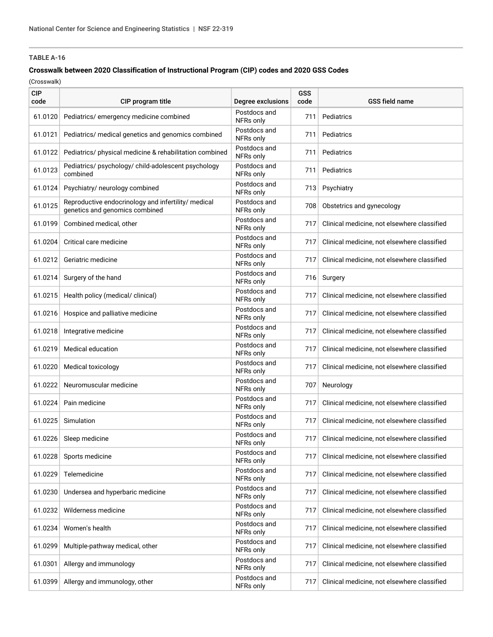### **Crosswalk between 2020 Classification of Instructional Program (CIP) codes and 2020 GSS Codes**

| <b>CIP</b><br>code | CIP program title                                                                     | Degree exclusions         | <b>GSS</b><br>code | <b>GSS field name</b>                       |
|--------------------|---------------------------------------------------------------------------------------|---------------------------|--------------------|---------------------------------------------|
| 61.0120            | Pediatrics/emergency medicine combined                                                | Postdocs and<br>NFRs only | 711                | Pediatrics                                  |
| 61.0121            | Pediatrics/ medical genetics and genomics combined                                    | Postdocs and<br>NFRs only | 711                | Pediatrics                                  |
| 61.0122            | Pediatrics/ physical medicine & rehabilitation combined                               | Postdocs and<br>NFRs only | 711                | Pediatrics                                  |
| 61.0123            | Pediatrics/ psychology/ child-adolescent psychology<br>combined                       | Postdocs and<br>NFRs only | 711                | Pediatrics                                  |
| 61.0124            | Psychiatry/ neurology combined                                                        | Postdocs and<br>NFRs only | 713                | Psychiatry                                  |
| 61.0125            | Reproductive endocrinology and infertility/ medical<br>genetics and genomics combined | Postdocs and<br>NFRs only | 708                | Obstetrics and gynecology                   |
| 61.0199            | Combined medical, other                                                               | Postdocs and<br>NFRs only | 717                | Clinical medicine, not elsewhere classified |
| 61.0204            | Critical care medicine                                                                | Postdocs and<br>NFRs only | 717                | Clinical medicine, not elsewhere classified |
| 61.0212            | Geriatric medicine                                                                    | Postdocs and<br>NFRs only | 717                | Clinical medicine, not elsewhere classified |
| 61.0214            | Surgery of the hand                                                                   | Postdocs and<br>NFRs only | 716                | Surgery                                     |
| 61.0215            | Health policy (medical/ clinical)                                                     | Postdocs and<br>NFRs only | 717                | Clinical medicine, not elsewhere classified |
| 61.0216            | Hospice and palliative medicine                                                       | Postdocs and<br>NFRs only | 717                | Clinical medicine, not elsewhere classified |
| 61.0218            | Integrative medicine                                                                  | Postdocs and<br>NFRs only | 717                | Clinical medicine, not elsewhere classified |
| 61.0219            | <b>Medical education</b>                                                              | Postdocs and<br>NFRs only | 717                | Clinical medicine, not elsewhere classified |
| 61.0220            | Medical toxicology                                                                    | Postdocs and<br>NFRs only | 717                | Clinical medicine, not elsewhere classified |
| 61.0222            | Neuromuscular medicine                                                                | Postdocs and<br>NFRs only | 707                | Neurology                                   |
| 61.0224            | Pain medicine                                                                         | Postdocs and<br>NFRs only | 717                | Clinical medicine, not elsewhere classified |
| 61.0225            | Simulation                                                                            | Postdocs and<br>NFRs only | 717                | Clinical medicine, not elsewhere classified |
| 61.0226            | Sleep medicine                                                                        | Postdocs and<br>NFRs only | 717                | Clinical medicine, not elsewhere classified |
| 61.0228            | Sports medicine                                                                       | Postdocs and<br>NFRs only | 717                | Clinical medicine, not elsewhere classified |
| 61.0229            | Telemedicine                                                                          | Postdocs and<br>NFRs only | 717                | Clinical medicine, not elsewhere classified |
| 61.0230            | Undersea and hyperbaric medicine                                                      | Postdocs and<br>NFRs only | 717                | Clinical medicine, not elsewhere classified |
| 61.0232            | Wilderness medicine                                                                   | Postdocs and<br>NFRs only | 717                | Clinical medicine, not elsewhere classified |
| 61.0234            | Women's health                                                                        | Postdocs and<br>NFRs only | 717                | Clinical medicine, not elsewhere classified |
| 61.0299            | Multiple-pathway medical, other                                                       | Postdocs and<br>NFRs only | 717                | Clinical medicine, not elsewhere classified |
| 61.0301            | Allergy and immunology                                                                | Postdocs and<br>NFRs only | 717                | Clinical medicine, not elsewhere classified |
| 61.0399            | Allergy and immunology, other                                                         | Postdocs and<br>NFRs only | 717                | Clinical medicine, not elsewhere classified |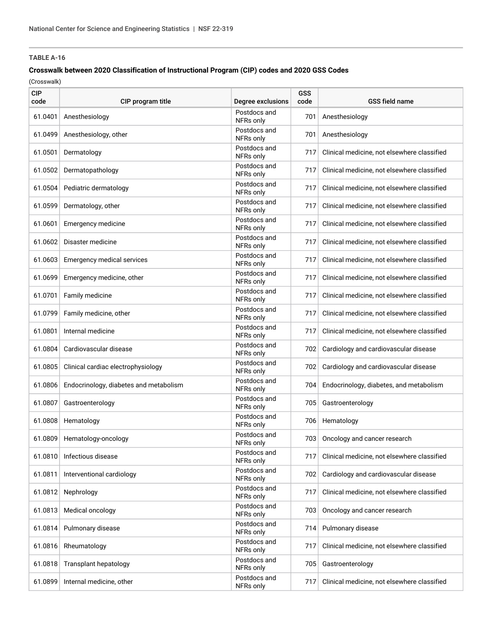### **Crosswalk between 2020 Classification of Instructional Program (CIP) codes and 2020 GSS Codes**

| <b>CIP</b><br>code | CIP program title                      | Degree exclusions         | GSS<br>code | <b>GSS field name</b>                       |
|--------------------|----------------------------------------|---------------------------|-------------|---------------------------------------------|
| 61.0401            | Anesthesiology                         | Postdocs and<br>NFRs only | 701         | Anesthesiology                              |
| 61.0499            | Anesthesiology, other                  | Postdocs and<br>NFRs only | 701         | Anesthesiology                              |
| 61.0501            | Dermatology                            | Postdocs and<br>NFRs only | 717         | Clinical medicine, not elsewhere classified |
| 61.0502            | Dermatopathology                       | Postdocs and<br>NFRs only | 717         | Clinical medicine, not elsewhere classified |
|                    | 61.0504 Pediatric dermatology          | Postdocs and<br>NFRs only | 717         | Clinical medicine, not elsewhere classified |
| 61.0599            | Dermatology, other                     | Postdocs and<br>NFRs only | 717         | Clinical medicine, not elsewhere classified |
| 61.0601            | Emergency medicine                     | Postdocs and<br>NFRs only | 717         | Clinical medicine, not elsewhere classified |
| 61.0602            | Disaster medicine                      | Postdocs and<br>NFRs only | 717         | Clinical medicine, not elsewhere classified |
| 61.0603            | Emergency medical services             | Postdocs and<br>NFRs only | 717         | Clinical medicine, not elsewhere classified |
| 61.0699            | Emergency medicine, other              | Postdocs and<br>NFRs only | 717         | Clinical medicine, not elsewhere classified |
| 61.0701            | Family medicine                        | Postdocs and<br>NFRs only | 717         | Clinical medicine, not elsewhere classified |
| 61.0799            | Family medicine, other                 | Postdocs and<br>NFRs only | 717         | Clinical medicine, not elsewhere classified |
| 61.0801            | Internal medicine                      | Postdocs and<br>NFRs only | 717         | Clinical medicine, not elsewhere classified |
| 61.0804            | Cardiovascular disease                 | Postdocs and<br>NFRs only | 702         | Cardiology and cardiovascular disease       |
| 61.0805            | Clinical cardiac electrophysiology     | Postdocs and<br>NFRs only | 702         | Cardiology and cardiovascular disease       |
| 61.0806            | Endocrinology, diabetes and metabolism | Postdocs and<br>NFRs only | 704         | Endocrinology, diabetes, and metabolism     |
| 61.0807            | Gastroenterology                       | Postdocs and<br>NFRs only | 705         | Gastroenterology                            |
| 61.0808            | Hematology                             | Postdocs and<br>NFRs only | 706         | Hematology                                  |
| 61.0809            | Hematology-oncology                    | Postdocs and<br>NFRs only | 703         | Oncology and cancer research                |
| 61.0810            | Infectious disease                     | Postdocs and<br>NFRs only | 717         | Clinical medicine, not elsewhere classified |
| 61.0811            | Interventional cardiology              | Postdocs and<br>NFRs only | 702         | Cardiology and cardiovascular disease       |
| 61.0812            | Nephrology                             | Postdocs and<br>NFRs only | 717         | Clinical medicine, not elsewhere classified |
| 61.0813            | Medical oncology                       | Postdocs and<br>NFRs only | 703         | Oncology and cancer research                |
| 61.0814            | Pulmonary disease                      | Postdocs and<br>NFRs only | 714         | Pulmonary disease                           |
| 61.0816            | Rheumatology                           | Postdocs and<br>NFRs only | 717         | Clinical medicine, not elsewhere classified |
| 61.0818            | Transplant hepatology                  | Postdocs and<br>NFRs only | 705         | Gastroenterology                            |
| 61.0899            | Internal medicine, other               | Postdocs and<br>NFRs only | 717         | Clinical medicine, not elsewhere classified |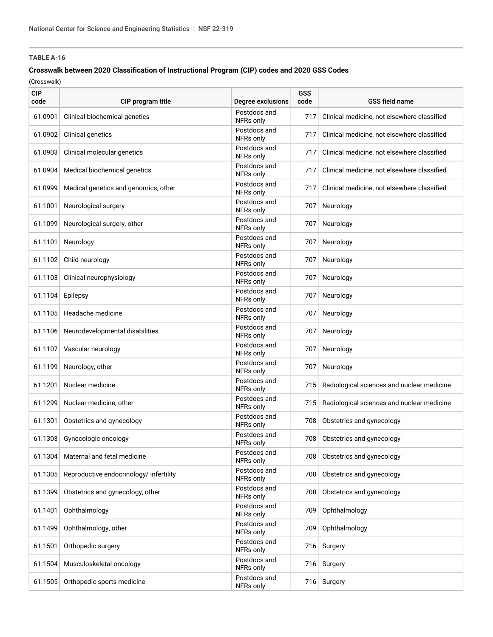### **Crosswalk between 2020 Classification of Instructional Program (CIP) codes and 2020 GSS Codes**

| <b>CIP</b><br>code | CIP program title                       | Degree exclusions         | GSS<br>code | <b>GSS field name</b>                       |
|--------------------|-----------------------------------------|---------------------------|-------------|---------------------------------------------|
| 61.0901            | Clinical biochemical genetics           | Postdocs and<br>NFRs only | 717         | Clinical medicine, not elsewhere classified |
| 61.0902            | Clinical genetics                       | Postdocs and<br>NFRs only | 717         | Clinical medicine, not elsewhere classified |
| 61.0903            | Clinical molecular genetics             | Postdocs and<br>NFRs only | 717         | Clinical medicine, not elsewhere classified |
| 61.0904            | Medical biochemical genetics            | Postdocs and<br>NFRs only | 717         | Clinical medicine, not elsewhere classified |
| 61.0999            | Medical genetics and genomics, other    | Postdocs and<br>NFRs only | 717         | Clinical medicine, not elsewhere classified |
| 61.1001            | Neurological surgery                    | Postdocs and<br>NFRs only | 707         | Neurology                                   |
| 61.1099            | Neurological surgery, other             | Postdocs and<br>NFRs only | 707         | Neurology                                   |
| 61.1101            | Neurology                               | Postdocs and<br>NFRs only | 707         | Neurology                                   |
| 61.1102            | Child neurology                         | Postdocs and<br>NFRs only | 707         | Neurology                                   |
| 61.1103            | Clinical neurophysiology                | Postdocs and<br>NFRs only | 707         | Neurology                                   |
| 61.1104            | Epilepsy                                | Postdocs and<br>NFRs only | 707         | Neurology                                   |
|                    | 61.1105 Headache medicine               | Postdocs and<br>NFRs only | 707         | Neurology                                   |
| 61.1106            | Neurodevelopmental disabilities         | Postdocs and<br>NFRs only | 707         | Neurology                                   |
| 61.1107            | Vascular neurology                      | Postdocs and<br>NFRs only | 707         | Neurology                                   |
| 61.1199            | Neurology, other                        | Postdocs and<br>NFRs only | 707         | Neurology                                   |
| 61.1201            | Nuclear medicine                        | Postdocs and<br>NFRs only | 715         | Radiological sciences and nuclear medicine  |
| 61.1299            | Nuclear medicine, other                 | Postdocs and<br>NFRs only | 715         | Radiological sciences and nuclear medicine  |
| 61.1301            | Obstetrics and gynecology               | Postdocs and<br>NFRs only | 708         | Obstetrics and gynecology                   |
| 61.1303            | Gynecologic oncology                    | Postdocs and<br>NFRs only | 708         | Obstetrics and gynecology                   |
| 61.1304            | Maternal and fetal medicine             | Postdocs and<br>NFRs only | 708         | Obstetrics and gynecology                   |
| 61.1305            | Reproductive endocrinology/ infertility | Postdocs and<br>NFRs only | 708         | Obstetrics and gynecology                   |
| 61.1399            | Obstetrics and gynecology, other        | Postdocs and<br>NFRs only | 708         | Obstetrics and gynecology                   |
| 61.1401            | Ophthalmology                           | Postdocs and<br>NFRs only | 709         | Ophthalmology                               |
| 61.1499            | Ophthalmology, other                    | Postdocs and<br>NFRs only | 709         | Ophthalmology                               |
| 61.1501            | Orthopedic surgery                      | Postdocs and<br>NFRs only | 716         | Surgery                                     |
| 61.1504            | Musculoskeletal oncology                | Postdocs and<br>NFRs only | 716         | Surgery                                     |
| 61.1505            | Orthopedic sports medicine              | Postdocs and<br>NFRs only | 716         | Surgery                                     |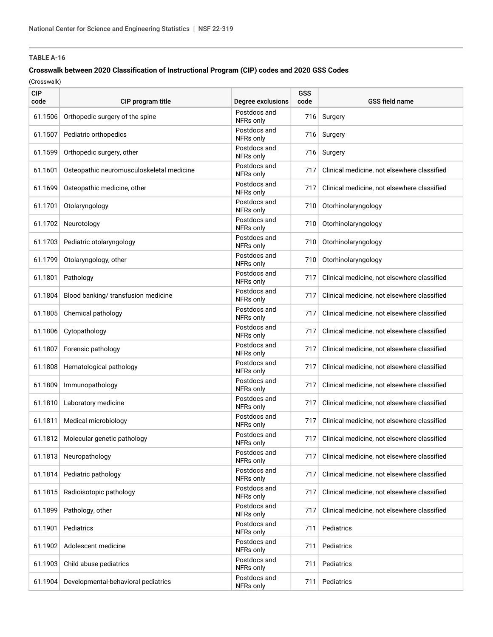### **Crosswalk between 2020 Classification of Instructional Program (CIP) codes and 2020 GSS Codes**

| <b>CIP</b><br>code | CIP program title                         | Degree exclusions         | <b>GSS</b><br>code | <b>GSS field name</b>                       |
|--------------------|-------------------------------------------|---------------------------|--------------------|---------------------------------------------|
| 61.1506            | Orthopedic surgery of the spine           | Postdocs and<br>NFRs only | 716                | Surgery                                     |
| 61.1507            | Pediatric orthopedics                     | Postdocs and<br>NFRs only | 716                | Surgery                                     |
| 61.1599            | Orthopedic surgery, other                 | Postdocs and<br>NFRs only | 716                | Surgery                                     |
| 61.1601            | Osteopathic neuromusculoskeletal medicine | Postdocs and<br>NFRs only | 717                | Clinical medicine, not elsewhere classified |
| 61.1699            | Osteopathic medicine, other               | Postdocs and<br>NFRs only | 717                | Clinical medicine, not elsewhere classified |
| 61.1701            | Otolaryngology                            | Postdocs and<br>NFRs only | 710                | Otorhinolaryngology                         |
| 61.1702            | Neurotology                               | Postdocs and<br>NFRs only | 710                | Otorhinolaryngology                         |
| 61.1703            | Pediatric otolaryngology                  | Postdocs and<br>NFRs only | 710                | Otorhinolaryngology                         |
| 61.1799            | Otolaryngology, other                     | Postdocs and<br>NFRs only | 710                | Otorhinolaryngology                         |
| 61.1801            | Pathology                                 | Postdocs and<br>NFRs only | 717                | Clinical medicine, not elsewhere classified |
| 61.1804            | Blood banking/ transfusion medicine       | Postdocs and<br>NFRs only | 717                | Clinical medicine, not elsewhere classified |
| 61.1805            | Chemical pathology                        | Postdocs and<br>NFRs only | 717                | Clinical medicine, not elsewhere classified |
| 61.1806            | Cytopathology                             | Postdocs and<br>NFRs only | 717                | Clinical medicine, not elsewhere classified |
| 61.1807            | Forensic pathology                        | Postdocs and<br>NFRs only | 717                | Clinical medicine, not elsewhere classified |
| 61.1808            | Hematological pathology                   | Postdocs and<br>NFRs only | 717                | Clinical medicine, not elsewhere classified |
| 61.1809            | Immunopathology                           | Postdocs and<br>NFRs only | 717                | Clinical medicine, not elsewhere classified |
| 61.1810            | Laboratory medicine                       | Postdocs and<br>NFRs only | 717                | Clinical medicine, not elsewhere classified |
| 61.1811            | Medical microbiology                      | Postdocs and<br>NFRs only | 717                | Clinical medicine, not elsewhere classified |
| 61.1812            | Molecular genetic pathology               | Postdocs and<br>NFRs only | 717                | Clinical medicine, not elsewhere classified |
| 61.1813            | Neuropathology                            | Postdocs and<br>NFRs only | 717                | Clinical medicine, not elsewhere classified |
| 61.1814            | Pediatric pathology                       | Postdocs and<br>NFRs only | 717                | Clinical medicine, not elsewhere classified |
| 61.1815            | Radioisotopic pathology                   | Postdocs and<br>NFRs only | 717                | Clinical medicine, not elsewhere classified |
| 61.1899            | Pathology, other                          | Postdocs and<br>NFRs only | 717                | Clinical medicine, not elsewhere classified |
| 61.1901            | Pediatrics                                | Postdocs and<br>NFRs only | 711                | Pediatrics                                  |
| 61.1902            | Adolescent medicine                       | Postdocs and<br>NFRs only | 711                | Pediatrics                                  |
| 61.1903            | Child abuse pediatrics                    | Postdocs and<br>NFRs only | 711                | Pediatrics                                  |
| 61.1904            | Developmental-behavioral pediatrics       | Postdocs and<br>NFRs only | 711                | Pediatrics                                  |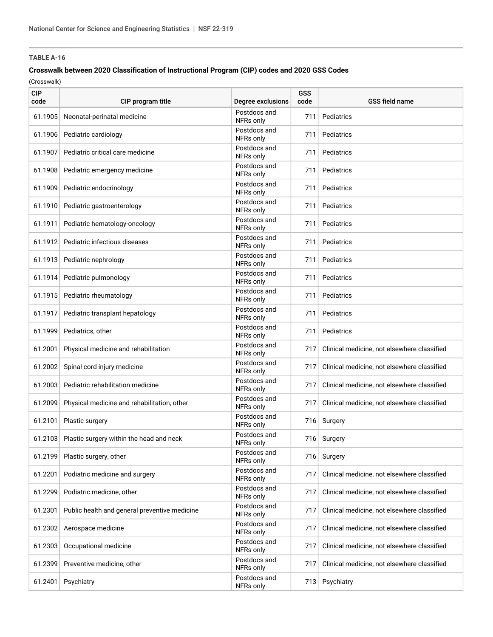### **Crosswalk between 2020 Classification of Instructional Program (CIP) codes and 2020 GSS Codes**

| <b>CIP</b><br>code | CIP program title                                | Degree exclusions         | GSS<br>code | <b>GSS field name</b>                       |
|--------------------|--------------------------------------------------|---------------------------|-------------|---------------------------------------------|
| 61.1905            | Neonatal-perinatal medicine                      | Postdocs and<br>NFRs only | 711         | Pediatrics                                  |
| 61.1906            | Pediatric cardiology                             | Postdocs and<br>NFRs only | 711         | Pediatrics                                  |
| 61.1907            | Pediatric critical care medicine                 | Postdocs and<br>NFRs only | 711         | Pediatrics                                  |
| 61.1908            | Pediatric emergency medicine                     | Postdocs and<br>NFRs only | 711         | Pediatrics                                  |
|                    | 61.1909 Pediatric endocrinology                  | Postdocs and<br>NFRs only | 711         | Pediatrics                                  |
| 61.1910            | Pediatric gastroenterology                       | Postdocs and<br>NFRs only | 711         | Pediatrics                                  |
| 61.1911            | Pediatric hematology-oncology                    | Postdocs and<br>NFRs only | 711         | Pediatrics                                  |
|                    | 61.1912 Pediatric infectious diseases            | Postdocs and<br>NFRs only | 711         | Pediatrics                                  |
| 61.1913            | Pediatric nephrology                             | Postdocs and<br>NFRs only | 711         | Pediatrics                                  |
|                    | 61.1914 Pediatric pulmonology                    | Postdocs and<br>NFRs only | 711         | Pediatrics                                  |
|                    | 61.1915 Pediatric rheumatology                   | Postdocs and<br>NFRs only | 711         | Pediatrics                                  |
| 61.1917            | Pediatric transplant hepatology                  | Postdocs and<br>NFRs only | 711         | Pediatrics                                  |
| 61.1999            | Pediatrics, other                                | Postdocs and<br>NFRs only | 711         | Pediatrics                                  |
| 61.2001            | Physical medicine and rehabilitation             | Postdocs and<br>NFRs only | 717         | Clinical medicine, not elsewhere classified |
| 61.2002            | Spinal cord injury medicine                      | Postdocs and<br>NFRs only | 717         | Clinical medicine, not elsewhere classified |
| 61.2003            | Pediatric rehabilitation medicine                | Postdocs and<br>NFRs only | 717         | Clinical medicine, not elsewhere classified |
| 61.2099            | Physical medicine and rehabilitation, other      | Postdocs and<br>NFRs only | 717         | Clinical medicine, not elsewhere classified |
| 61.2101            | Plastic surgery                                  | Postdocs and<br>NFRs only | 716         | Surgery                                     |
|                    | 61.2103 Plastic surgery within the head and neck | Postdocs and<br>NFRs only |             | 716 Surgery                                 |
| 61.2199            | Plastic surgery, other                           | Postdocs and<br>NFRs only | 716         | Surgery                                     |
| 61.2201            | Podiatric medicine and surgery                   | Postdocs and<br>NFRs only | 717         | Clinical medicine, not elsewhere classified |
| 61.2299            | Podiatric medicine, other                        | Postdocs and<br>NFRs only | 717         | Clinical medicine, not elsewhere classified |
| 61.2301            | Public health and general preventive medicine    | Postdocs and<br>NFRs only | 717         | Clinical medicine, not elsewhere classified |
| 61.2302            | Aerospace medicine                               | Postdocs and<br>NFRs only | 717         | Clinical medicine, not elsewhere classified |
| 61.2303            | Occupational medicine                            | Postdocs and<br>NFRs only | 717         | Clinical medicine, not elsewhere classified |
| 61.2399            | Preventive medicine, other                       | Postdocs and<br>NFRs only | 717         | Clinical medicine, not elsewhere classified |
| 61.2401            | Psychiatry                                       | Postdocs and<br>NFRs only | 713         | Psychiatry                                  |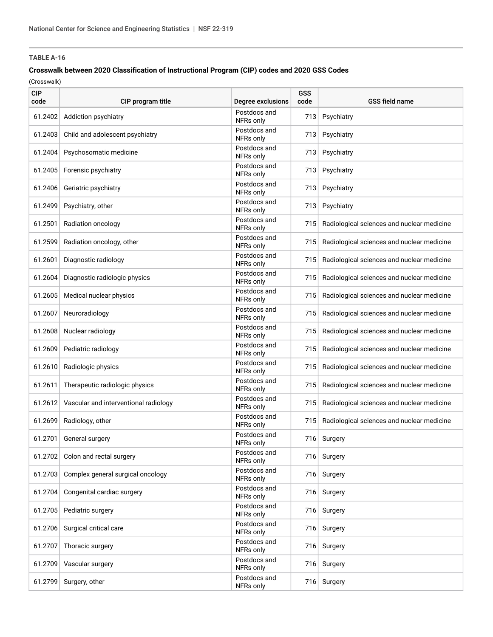### **Crosswalk between 2020 Classification of Instructional Program (CIP) codes and 2020 GSS Codes**

| <b>CIP</b><br>code | CIP program title                             | Degree exclusions         | <b>GSS</b><br>code | <b>GSS field name</b>                      |
|--------------------|-----------------------------------------------|---------------------------|--------------------|--------------------------------------------|
| 61.2402            | Addiction psychiatry                          | Postdocs and<br>NFRs only | 713                | Psychiatry                                 |
| 61.2403            | Child and adolescent psychiatry               | Postdocs and<br>NFRs only | 713                | Psychiatry                                 |
| 61.2404            | Psychosomatic medicine                        | Postdocs and<br>NFRs only | 713                | Psychiatry                                 |
|                    | 61.2405 Forensic psychiatry                   | Postdocs and<br>NFRs only | 713                | Psychiatry                                 |
| 61.2406            | Geriatric psychiatry                          | Postdocs and<br>NFRs only | 713                | Psychiatry                                 |
| 61.2499            | Psychiatry, other                             | Postdocs and<br>NFRs only | 713                | Psychiatry                                 |
| 61.2501            | Radiation oncology                            | Postdocs and<br>NFRs only | 715                | Radiological sciences and nuclear medicine |
| 61.2599            | Radiation oncology, other                     | Postdocs and<br>NFRs only | 715                | Radiological sciences and nuclear medicine |
| 61.2601            | Diagnostic radiology                          | Postdocs and<br>NFRs only | 715                | Radiological sciences and nuclear medicine |
| 61.2604            | Diagnostic radiologic physics                 | Postdocs and<br>NFRs only | 715                | Radiological sciences and nuclear medicine |
|                    | 61.2605 Medical nuclear physics               | Postdocs and<br>NFRs only | 715                | Radiological sciences and nuclear medicine |
| 61.2607            | Neuroradiology                                | Postdocs and<br>NFRs only | 715                | Radiological sciences and nuclear medicine |
| 61.2608            | Nuclear radiology                             | Postdocs and<br>NFRs only | 715                | Radiological sciences and nuclear medicine |
| 61.2609            | Pediatric radiology                           | Postdocs and<br>NFRs only | 715                | Radiological sciences and nuclear medicine |
| 61.2610            | Radiologic physics                            | Postdocs and<br>NFRs only | 715                | Radiological sciences and nuclear medicine |
| 61.2611            | Therapeutic radiologic physics                | Postdocs and<br>NFRs only | 715                | Radiological sciences and nuclear medicine |
|                    | 61.2612 Vascular and interventional radiology | Postdocs and<br>NFRs only | 715                | Radiological sciences and nuclear medicine |
| 61.2699            | Radiology, other                              | Postdocs and<br>NFRs only | 715                | Radiological sciences and nuclear medicine |
| 61.2701            | General surgery                               | Postdocs and<br>NFRs only | 716                | Surgery                                    |
|                    | 61.2702 Colon and rectal surgery              | Postdocs and<br>NFRs only | 716                | Surgery                                    |
| 61.2703            | Complex general surgical oncology             | Postdocs and<br>NFRs only |                    | 716 Surgery                                |
| 61.2704            | Congenital cardiac surgery                    | Postdocs and<br>NFRs only |                    | 716 Surgery                                |
| 61.2705            | Pediatric surgery                             | Postdocs and<br>NFRs only | 716                | Surgery                                    |
| 61.2706            | Surgical critical care                        | Postdocs and<br>NFRs only | 716                | Surgery                                    |
| 61.2707            | Thoracic surgery                              | Postdocs and<br>NFRs only | 716                | Surgery                                    |
| 61.2709            | Vascular surgery                              | Postdocs and<br>NFRs only | 716                | Surgery                                    |
| 61.2799            | Surgery, other                                | Postdocs and<br>NFRs only | 716                | Surgery                                    |